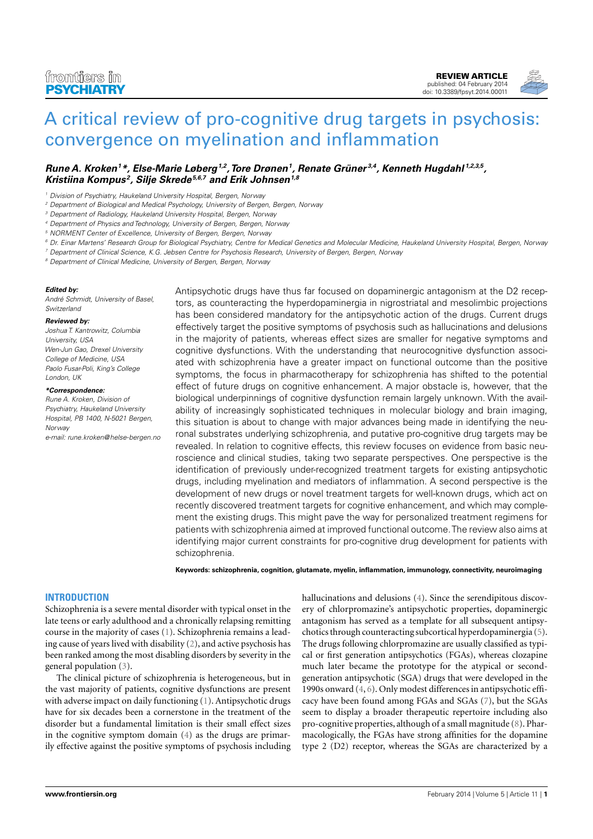[REVIEW ARTICLE](http://www.frontiersin.org/Psychiatry/editorialboard) [published: 04 February 2014](http://www.frontiersin.org/Psychiatry/editorialboard) [doi: 10.3389/fpsyt.2014.00011](http://www.frontiersin.org/Psychiatry/editorialboard)



# [A critical review of pro-cognitive drug targets in psychosis:](http://www.frontiersin.org/Journal/10.3389/fpsyt.2014.00011/abstract) [convergence on myelination and inflammation](http://www.frontiersin.org/Journal/10.3389/fpsyt.2014.00011/abstract)

# **[Rune A. Kroken](http://www.frontiersin.org/people/u/66412)<sup>1</sup>\*, [Else-Marie Løberg](http://www.frontiersin.org/people/Else_MarieL�berg/724)1,2,[Tore Drønen](http://www.frontiersin.org/people/ToreDr�nen/133852)<sup>1</sup> , [Renate Grüner](http://www.frontiersin.org/people/RenateGr�ner/133770) 3,4, [Kenneth Hugdahl](http://www.frontiersin.org/people/u/423) 1,2,3,5 , [Kristiina Kompus](http://www.frontiersin.org/people/u/49598) <sup>2</sup> , [Silje Skrede](http://www.frontiersin.org/people/SiljeSkrede/133610)5,6,7 and [Erik Johnsen](http://www.frontiersin.org/people/u/47682)1,8**

<sup>1</sup> Division of Psychiatry, Haukeland University Hospital, Bergen, Norway

<sup>3</sup> Department of Radiology, Haukeland University Hospital, Bergen, Norway

- <sup>5</sup> NORMENT Center of Excellence, University of Bergen, Bergen, Norway
- <sup>6</sup> Dr. Einar Martens' Research Group for Biological Psychiatry, Centre for Medical Genetics and Molecular Medicine, Haukeland University Hospital, Bergen, Norway
- <sup>7</sup> Department of Clinical Science, K.G. Jebsen Centre for Psychosis Research, University of Bergen, Bergen, Norway

<sup>8</sup> Department of Clinical Medicine, University of Bergen, Bergen, Norway

#### **Edited by:**

André Schmidt, University of Basel, **Switzerland** 

#### **Reviewed by:**

Joshua T. Kantrowitz, Columbia University, USA Wen-Jun Gao, Drexel University College of Medicine, USA Paolo Fusar-Poli, King's College London, UK

#### **\*Correspondence:**

Rune A. Kroken, Division of Psychiatry, Haukeland University Hospital, PB 1400, N-5021 Bergen, Norway

e-mail: [rune.kroken@helse-bergen.no](mailto:rune.kroken@helse-bergen.no)

Antipsychotic drugs have thus far focused on dopaminergic antagonism at the D2 receptors, as counteracting the hyperdopaminergia in nigrostriatal and mesolimbic projections has been considered mandatory for the antipsychotic action of the drugs. Current drugs effectively target the positive symptoms of psychosis such as hallucinations and delusions in the majority of patients, whereas effect sizes are smaller for negative symptoms and cognitive dysfunctions. With the understanding that neurocognitive dysfunction associated with schizophrenia have a greater impact on functional outcome than the positive symptoms, the focus in pharmacotherapy for schizophrenia has shifted to the potential effect of future drugs on cognitive enhancement. A major obstacle is, however, that the biological underpinnings of cognitive dysfunction remain largely unknown. With the availability of increasingly sophisticated techniques in molecular biology and brain imaging, this situation is about to change with major advances being made in identifying the neuronal substrates underlying schizophrenia, and putative pro-cognitive drug targets may be revealed. In relation to cognitive effects, this review focuses on evidence from basic neuroscience and clinical studies, taking two separate perspectives. One perspective is the identification of previously under-recognized treatment targets for existing antipsychotic drugs, including myelination and mediators of inflammation. A second perspective is the development of new drugs or novel treatment targets for well-known drugs, which act on recently discovered treatment targets for cognitive enhancement, and which may complement the existing drugs. This might pave the way for personalized treatment regimens for patients with schizophrenia aimed at improved functional outcome.The review also aims at identifying major current constraints for pro-cognitive drug development for patients with schizophrenia.

**Keywords: schizophrenia, cognition, glutamate, myelin, inflammation, immunology, connectivity, neuroimaging**

# **INTRODUCTION**

Schizophrenia is a severe mental disorder with typical onset in the late teens or early adulthood and a chronically relapsing remitting course in the majority of cases [\(1\)](#page-8-0). Schizophrenia remains a leading cause of years lived with disability [\(2\)](#page-8-1), and active psychosis has been ranked among the most disabling disorders by severity in the general population [\(3\)](#page-8-2).

The clinical picture of schizophrenia is heterogeneous, but in the vast majority of patients, cognitive dysfunctions are present with adverse impact on daily functioning [\(1\)](#page-8-0). Antipsychotic drugs have for six decades been a cornerstone in the treatment of the disorder but a fundamental limitation is their small effect sizes in the cognitive symptom domain [\(4\)](#page-8-3) as the drugs are primarily effective against the positive symptoms of psychosis including

hallucinations and delusions [\(4\)](#page-8-3). Since the serendipitous discovery of chlorpromazine's antipsychotic properties, dopaminergic antagonism has served as a template for all subsequent antipsychotics through counteracting subcortical hyperdopaminergia [\(5\)](#page-8-4). The drugs following chlorpromazine are usually classified as typical or first generation antipsychotics (FGAs), whereas clozapine much later became the prototype for the atypical or secondgeneration antipsychotic (SGA) drugs that were developed in the 1990s onward [\(4,](#page-8-3) [6\)](#page-8-5). Only modest differences in antipsychotic efficacy have been found among FGAs and SGAs [\(7\)](#page-8-6), but the SGAs seem to display a broader therapeutic repertoire including also pro-cognitive properties, although of a small magnitude [\(8\)](#page-8-7). Pharmacologically, the FGAs have strong affinities for the dopamine type 2 (D2) receptor, whereas the SGAs are characterized by a

<sup>&</sup>lt;sup>2</sup> Department of Biological and Medical Psychology, University of Bergen, Bergen, Norway

<sup>4</sup> Department of Physics and Technology, University of Bergen, Bergen, Norway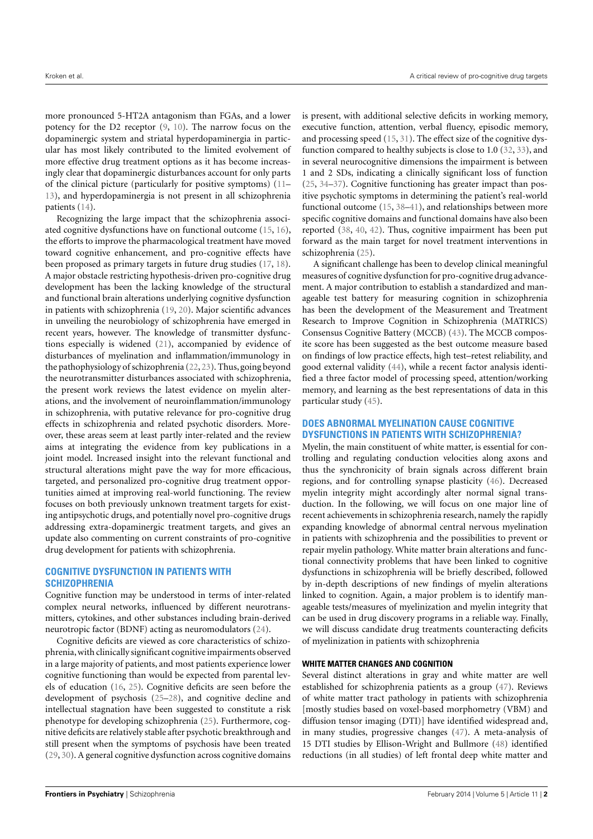more pronounced 5-HT2A antagonism than FGAs, and a lower potency for the D2 receptor [\(9,](#page-8-8) [10\)](#page-9-0). The narrow focus on the dopaminergic system and striatal hyperdopaminergia in particular has most likely contributed to the limited evolvement of more effective drug treatment options as it has become increasingly clear that dopaminergic disturbances account for only parts of the clinical picture (particularly for positive symptoms) [\(11–](#page-9-1) [13\)](#page-9-2), and hyperdopaminergia is not present in all schizophrenia patients [\(14\)](#page-9-3).

Recognizing the large impact that the schizophrenia associated cognitive dysfunctions have on functional outcome [\(15,](#page-9-4) [16\)](#page-9-5), the efforts to improve the pharmacological treatment have moved toward cognitive enhancement, and pro-cognitive effects have been proposed as primary targets in future drug studies [\(17,](#page-9-6) [18\)](#page-9-7). A major obstacle restricting hypothesis-driven pro-cognitive drug development has been the lacking knowledge of the structural and functional brain alterations underlying cognitive dysfunction in patients with schizophrenia [\(19,](#page-9-8) [20\)](#page-9-9). Major scientific advances in unveiling the neurobiology of schizophrenia have emerged in recent years, however. The knowledge of transmitter dysfunctions especially is widened [\(21\)](#page-9-10), accompanied by evidence of disturbances of myelination and inflammation/immunology in the pathophysiology of schizophrenia [\(22,](#page-9-11) [23\)](#page-9-12). Thus, going beyond the neurotransmitter disturbances associated with schizophrenia, the present work reviews the latest evidence on myelin alterations, and the involvement of neuroinflammation/immunology in schizophrenia, with putative relevance for pro-cognitive drug effects in schizophrenia and related psychotic disorders. Moreover, these areas seem at least partly inter-related and the review aims at integrating the evidence from key publications in a joint model. Increased insight into the relevant functional and structural alterations might pave the way for more efficacious, targeted, and personalized pro-cognitive drug treatment opportunities aimed at improving real-world functioning. The review focuses on both previously unknown treatment targets for existing antipsychotic drugs, and potentially novel pro-cognitive drugs addressing extra-dopaminergic treatment targets, and gives an update also commenting on current constraints of pro-cognitive drug development for patients with schizophrenia.

# **COGNITIVE DYSFUNCTION IN PATIENTS WITH SCHIZOPHRENIA**

Cognitive function may be understood in terms of inter-related complex neural networks, influenced by different neurotransmitters, cytokines, and other substances including brain-derived neurotropic factor (BDNF) acting as neuromodulators [\(24\)](#page-9-13).

Cognitive deficits are viewed as core characteristics of schizophrenia, with clinically significant cognitive impairments observed in a large majority of patients, and most patients experience lower cognitive functioning than would be expected from parental levels of education [\(16,](#page-9-5) [25\)](#page-9-14). Cognitive deficits are seen before the development of psychosis [\(25](#page-9-14)[–28\)](#page-9-15), and cognitive decline and intellectual stagnation have been suggested to constitute a risk phenotype for developing schizophrenia [\(25\)](#page-9-14). Furthermore, cognitive deficits are relatively stable after psychotic breakthrough and still present when the symptoms of psychosis have been treated [\(29,](#page-9-16) [30\)](#page-9-17). A general cognitive dysfunction across cognitive domains

is present, with additional selective deficits in working memory, executive function, attention, verbal fluency, episodic memory, and processing speed [\(15,](#page-9-4) [31\)](#page-9-18). The effect size of the cognitive dysfunction compared to healthy subjects is close to 1.0 [\(32,](#page-9-19) [33\)](#page-9-20), and in several neurocognitive dimensions the impairment is between 1 and 2 SDs, indicating a clinically significant loss of function [\(25,](#page-9-14) [34–](#page-9-21)[37\)](#page-9-22). Cognitive functioning has greater impact than positive psychotic symptoms in determining the patient's real-world functional outcome [\(15,](#page-9-4) [38](#page-9-23)[–41\)](#page-9-24), and relationships between more specific cognitive domains and functional domains have also been reported [\(38,](#page-9-23) [40,](#page-9-25) [42\)](#page-9-26). Thus, cognitive impairment has been put forward as the main target for novel treatment interventions in schizophrenia [\(25\)](#page-9-14).

A significant challenge has been to develop clinical meaningful measures of cognitive dysfunction for pro-cognitive drug advancement. A major contribution to establish a standardized and manageable test battery for measuring cognition in schizophrenia has been the development of the Measurement and Treatment Research to Improve Cognition in Schizophrenia (MATRICS) Consensus Cognitive Battery (MCCB) [\(43\)](#page-9-27). The MCCB composite score has been suggested as the best outcome measure based on findings of low practice effects, high test–retest reliability, and good external validity [\(44\)](#page-9-28), while a recent factor analysis identified a three factor model of processing speed, attention/working memory, and learning as the best representations of data in this particular study [\(45\)](#page-9-29).

## **DOES ABNORMAL MYELINATION CAUSE COGNITIVE DYSFUNCTIONS IN PATIENTS WITH SCHIZOPHRENIA?**

Myelin, the main constituent of white matter, is essential for controlling and regulating conduction velocities along axons and thus the synchronicity of brain signals across different brain regions, and for controlling synapse plasticity [\(46\)](#page-9-30). Decreased myelin integrity might accordingly alter normal signal transduction. In the following, we will focus on one major line of recent achievements in schizophrenia research, namely the rapidly expanding knowledge of abnormal central nervous myelination in patients with schizophrenia and the possibilities to prevent or repair myelin pathology. White matter brain alterations and functional connectivity problems that have been linked to cognitive dysfunctions in schizophrenia will be briefly described, followed by in-depth descriptions of new findings of myelin alterations linked to cognition. Again, a major problem is to identify manageable tests/measures of myelinization and myelin integrity that can be used in drug discovery programs in a reliable way. Finally, we will discuss candidate drug treatments counteracting deficits of myelinization in patients with schizophrenia

## **WHITE MATTER CHANGES AND COGNITION**

Several distinct alterations in gray and white matter are well established for schizophrenia patients as a group [\(47\)](#page-9-31). Reviews of white matter tract pathology in patients with schizophrenia [mostly studies based on voxel-based morphometry (VBM) and diffusion tensor imaging (DTI)] have identified widespread and, in many studies, progressive changes [\(47\)](#page-9-31). A meta-analysis of 15 DTI studies by Ellison-Wright and Bullmore [\(48\)](#page-9-32) identified reductions (in all studies) of left frontal deep white matter and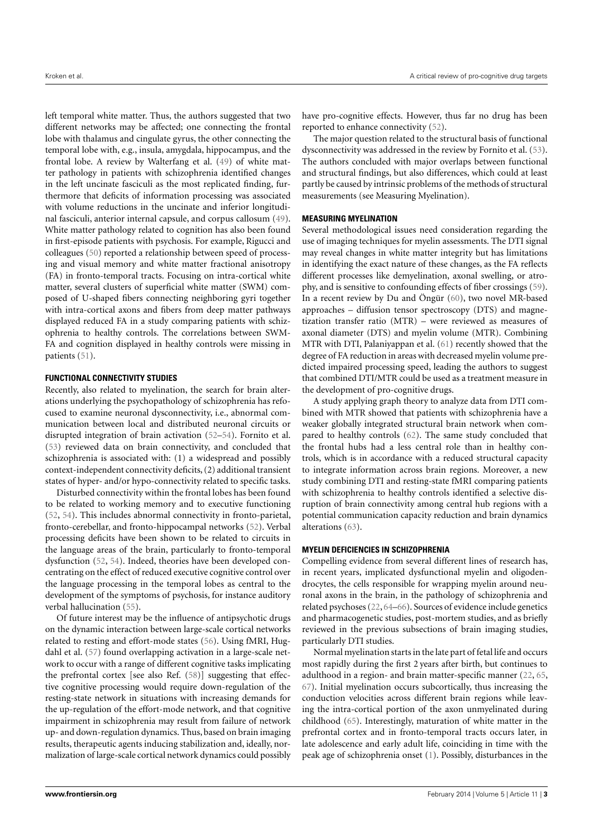left temporal white matter. Thus, the authors suggested that two different networks may be affected; one connecting the frontal lobe with thalamus and cingulate gyrus, the other connecting the temporal lobe with, e.g., insula, amygdala, hippocampus, and the frontal lobe. A review by Walterfang et al. [\(49\)](#page-9-33) of white matter pathology in patients with schizophrenia identified changes in the left uncinate fasciculi as the most replicated finding, furthermore that deficits of information processing was associated with volume reductions in the uncinate and inferior longitudinal fasciculi, anterior internal capsule, and corpus callosum [\(49\)](#page-9-33). White matter pathology related to cognition has also been found in first-episode patients with psychosis. For example, Rigucci and colleagues [\(50\)](#page-9-34) reported a relationship between speed of processing and visual memory and white matter fractional anisotropy (FA) in fronto-temporal tracts. Focusing on intra-cortical white matter, several clusters of superficial white matter (SWM) composed of U-shaped fibers connecting neighboring gyri together with intra-cortical axons and fibers from deep matter pathways displayed reduced FA in a study comparing patients with schizophrenia to healthy controls. The correlations between SWM-FA and cognition displayed in healthy controls were missing in patients [\(51\)](#page-10-0).

## **FUNCTIONAL CONNECTIVITY STUDIES**

Recently, also related to myelination, the search for brain alterations underlying the psychopathology of schizophrenia has refocused to examine neuronal dysconnectivity, i.e., abnormal communication between local and distributed neuronal circuits or disrupted integration of brain activation [\(52](#page-10-1)[–54\)](#page-10-2). Fornito et al. [\(53\)](#page-10-3) reviewed data on brain connectivity, and concluded that schizophrenia is associated with: (1) a widespread and possibly context-independent connectivity deficits, (2) additional transient states of hyper- and/or hypo-connectivity related to specific tasks.

Disturbed connectivity within the frontal lobes has been found to be related to working memory and to executive functioning [\(52,](#page-10-1) [54\)](#page-10-2). This includes abnormal connectivity in fronto-parietal, fronto-cerebellar, and fronto-hippocampal networks [\(52\)](#page-10-1). Verbal processing deficits have been shown to be related to circuits in the language areas of the brain, particularly to fronto-temporal dysfunction [\(52,](#page-10-1) [54\)](#page-10-2). Indeed, theories have been developed concentrating on the effect of reduced executive cognitive control over the language processing in the temporal lobes as central to the development of the symptoms of psychosis, for instance auditory verbal hallucination [\(55\)](#page-10-4).

Of future interest may be the influence of antipsychotic drugs on the dynamic interaction between large-scale cortical networks related to resting and effort-mode states [\(56\)](#page-10-5). Using fMRI, Hugdahl et al. [\(57\)](#page-10-6) found overlapping activation in a large-scale network to occur with a range of different cognitive tasks implicating the prefrontal cortex [see also Ref. [\(58\)](#page-10-7)] suggesting that effective cognitive processing would require down-regulation of the resting-state network in situations with increasing demands for the up-regulation of the effort-mode network, and that cognitive impairment in schizophrenia may result from failure of network up- and down-regulation dynamics. Thus, based on brain imaging results, therapeutic agents inducing stabilization and, ideally, normalization of large-scale cortical network dynamics could possibly have pro-cognitive effects. However, thus far no drug has been reported to enhance connectivity [\(52\)](#page-10-1).

The major question related to the structural basis of functional dysconnectivity was addressed in the review by Fornito et al. [\(53\)](#page-10-3). The authors concluded with major overlaps between functional and structural findings, but also differences, which could at least partly be caused by intrinsic problems of the methods of structural measurements (see Measuring Myelination).

## **MEASURING MYELINATION**

Several methodological issues need consideration regarding the use of imaging techniques for myelin assessments. The DTI signal may reveal changes in white matter integrity but has limitations in identifying the exact nature of these changes, as the FA reflects different processes like demyelination, axonal swelling, or atrophy, and is sensitive to confounding effects of fiber crossings [\(59\)](#page-10-8). In a recent review by Du and Öngür [\(60\)](#page-10-9), two novel MR-based approaches – diffusion tensor spectroscopy (DTS) and magnetization transfer ratio (MTR) – were reviewed as measures of axonal diameter (DTS) and myelin volume (MTR). Combining MTR with DTI, Palaniyappan et al. [\(61\)](#page-10-10) recently showed that the degree of FA reduction in areas with decreased myelin volume predicted impaired processing speed, leading the authors to suggest that combined DTI/MTR could be used as a treatment measure in the development of pro-cognitive drugs.

A study applying graph theory to analyze data from DTI combined with MTR showed that patients with schizophrenia have a weaker globally integrated structural brain network when compared to healthy controls [\(62\)](#page-10-11). The same study concluded that the frontal hubs had a less central role than in healthy controls, which is in accordance with a reduced structural capacity to integrate information across brain regions. Moreover, a new study combining DTI and resting-state fMRI comparing patients with schizophrenia to healthy controls identified a selective disruption of brain connectivity among central hub regions with a potential communication capacity reduction and brain dynamics alterations [\(63\)](#page-10-12).

#### **MYELIN DEFICIENCIES IN SCHIZOPHRENIA**

Compelling evidence from several different lines of research has, in recent years, implicated dysfunctional myelin and oligodendrocytes, the cells responsible for wrapping myelin around neuronal axons in the brain, in the pathology of schizophrenia and related psychoses [\(22,](#page-9-11) [64](#page-10-13)[–66\)](#page-10-14). Sources of evidence include genetics and pharmacogenetic studies, post-mortem studies, and as briefly reviewed in the previous subsections of brain imaging studies, particularly DTI studies.

Normal myelination starts in the late part of fetal life and occurs most rapidly during the first 2 years after birth, but continues to adulthood in a region- and brain matter-specific manner [\(22,](#page-9-11) [65,](#page-10-15) [67\)](#page-10-16). Initial myelination occurs subcortically, thus increasing the conduction velocities across different brain regions while leaving the intra-cortical portion of the axon unmyelinated during childhood [\(65\)](#page-10-15). Interestingly, maturation of white matter in the prefrontal cortex and in fronto-temporal tracts occurs later, in late adolescence and early adult life, coinciding in time with the peak age of schizophrenia onset [\(1\)](#page-8-0). Possibly, disturbances in the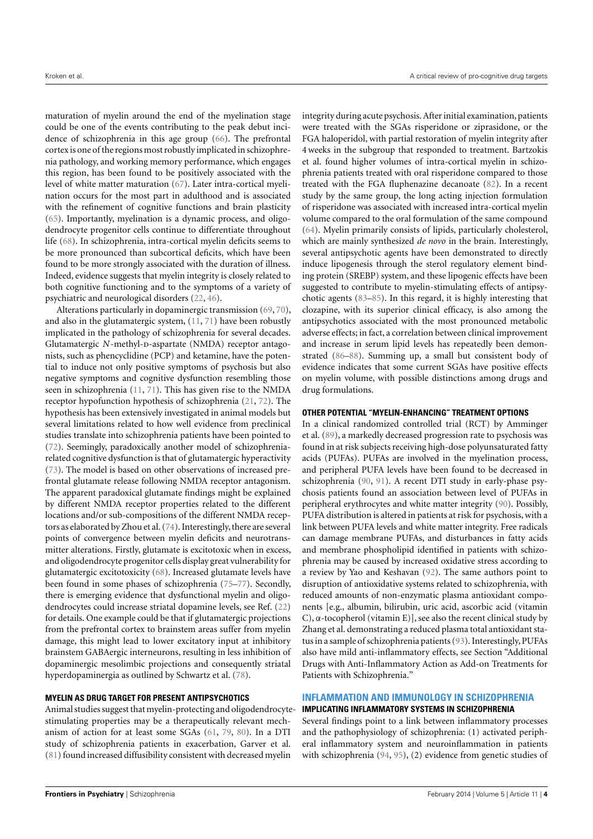maturation of myelin around the end of the myelination stage could be one of the events contributing to the peak debut incidence of schizophrenia in this age group [\(66\)](#page-10-14). The prefrontal cortex is one of the regions most robustly implicated in schizophrenia pathology, and working memory performance, which engages this region, has been found to be positively associated with the level of white matter maturation [\(67\)](#page-10-16). Later intra-cortical myelination occurs for the most part in adulthood and is associated with the refinement of cognitive functions and brain plasticity [\(65\)](#page-10-15). Importantly, myelination is a dynamic process, and oligodendrocyte progenitor cells continue to differentiate throughout life [\(68\)](#page-10-17). In schizophrenia, intra-cortical myelin deficits seems to be more pronounced than subcortical deficits, which have been found to be more strongly associated with the duration of illness. Indeed, evidence suggests that myelin integrity is closely related to both cognitive functioning and to the symptoms of a variety of psychiatric and neurological disorders [\(22,](#page-9-11) [46\)](#page-9-30).

Alterations particularly in dopaminergic transmission [\(69,](#page-10-18) [70\)](#page-10-19), and also in the glutamatergic system, [\(11,](#page-9-1) [71\)](#page-10-20) have been robustly implicated in the pathology of schizophrenia for several decades. Glutamatergic *N*-methyl-p-aspartate (NMDA) receptor antagonists, such as phencyclidine (PCP) and ketamine, have the potential to induce not only positive symptoms of psychosis but also negative symptoms and cognitive dysfunction resembling those seen in schizophrenia [\(11,](#page-9-1) [71\)](#page-10-20). This has given rise to the NMDA receptor hypofunction hypothesis of schizophrenia [\(21,](#page-9-10) [72\)](#page-10-21). The hypothesis has been extensively investigated in animal models but several limitations related to how well evidence from preclinical studies translate into schizophrenia patients have been pointed to [\(72\)](#page-10-21). Seemingly, paradoxically another model of schizophreniarelated cognitive dysfunction is that of glutamatergic hyperactivity [\(73\)](#page-10-22). The model is based on other observations of increased prefrontal glutamate release following NMDA receptor antagonism. The apparent paradoxical glutamate findings might be explained by different NMDA receptor properties related to the different locations and/or sub-compositions of the different NMDA receptors as elaborated by Zhou et al. [\(74\)](#page-10-23). Interestingly, there are several points of convergence between myelin deficits and neurotransmitter alterations. Firstly, glutamate is excitotoxic when in excess, and oligodendrocyte progenitor cells display great vulnerability for glutamatergic excitotoxicity [\(68\)](#page-10-17). Increased glutamate levels have been found in some phases of schizophrenia [\(75–](#page-10-24)[77\)](#page-10-25). Secondly, there is emerging evidence that dysfunctional myelin and oligodendrocytes could increase striatal dopamine levels, see Ref. [\(22\)](#page-9-11) for details. One example could be that if glutamatergic projections from the prefrontal cortex to brainstem areas suffer from myelin damage, this might lead to lower excitatory input at inhibitory brainstem GABAergic interneurons, resulting in less inhibition of dopaminergic mesolimbic projections and consequently striatal hyperdopaminergia as outlined by Schwartz et al. [\(78\)](#page-10-26).

## **MYELIN AS DRUG TARGET FOR PRESENT ANTIPSYCHOTICS**

Animal studies suggest that myelin-protecting and oligodendrocytestimulating properties may be a therapeutically relevant mechanism of action for at least some SGAs [\(61,](#page-10-10) [79,](#page-10-27) [80\)](#page-10-28). In a DTI study of schizophrenia patients in exacerbation, Garver et al. [\(81\)](#page-10-29) found increased diffusibility consistent with decreased myelin

integrity during acute psychosis. After initial examination, patients were treated with the SGAs risperidone or ziprasidone, or the FGA haloperidol, with partial restoration of myelin integrity after 4 weeks in the subgroup that responded to treatment. Bartzokis et al. found higher volumes of intra-cortical myelin in schizophrenia patients treated with oral risperidone compared to those treated with the FGA fluphenazine decanoate [\(82\)](#page-10-30). In a recent study by the same group, the long acting injection formulation of risperidone was associated with increased intra-cortical myelin volume compared to the oral formulation of the same compound [\(64\)](#page-10-13). Myelin primarily consists of lipids, particularly cholesterol, which are mainly synthesized *de novo* in the brain. Interestingly, several antipsychotic agents have been demonstrated to directly induce lipogenesis through the sterol regulatory element binding protein (SREBP) system, and these lipogenic effects have been suggested to contribute to myelin-stimulating effects of antipsychotic agents [\(83–](#page-10-31)[85\)](#page-10-32). In this regard, it is highly interesting that clozapine, with its superior clinical efficacy, is also among the antipsychotics associated with the most pronounced metabolic adverse effects; in fact, a correlation between clinical improvement and increase in serum lipid levels has repeatedly been demonstrated [\(86–](#page-10-33)[88\)](#page-10-34). Summing up, a small but consistent body of evidence indicates that some current SGAs have positive effects on myelin volume, with possible distinctions among drugs and drug formulations.

## **OTHER POTENTIAL "MYELIN-ENHANCING" TREATMENT OPTIONS**

In a clinical randomized controlled trial (RCT) by Amminger et al. [\(89\)](#page-10-35), a markedly decreased progression rate to psychosis was found in at risk subjects receiving high-dose polyunsaturated fatty acids (PUFAs). PUFAs are involved in the myelination process, and peripheral PUFA levels have been found to be decreased in schizophrenia [\(90,](#page-10-36) [91\)](#page-11-0). A recent DTI study in early-phase psychosis patients found an association between level of PUFAs in peripheral erythrocytes and white matter integrity [\(90\)](#page-10-36). Possibly, PUFA distribution is altered in patients at risk for psychosis, with a link between PUFA levels and white matter integrity. Free radicals can damage membrane PUFAs, and disturbances in fatty acids and membrane phospholipid identified in patients with schizophrenia may be caused by increased oxidative stress according to a review by Yao and Keshavan [\(92\)](#page-11-1). The same authors point to disruption of antioxidative systems related to schizophrenia, with reduced amounts of non-enzymatic plasma antioxidant components [e.g., albumin, bilirubin, uric acid, ascorbic acid (vitamin C), α-tocopherol (vitamin E)], see also the recent clinical study by Zhang et al. demonstrating a reduced plasma total antioxidant status in a sample of schizophrenia patients [\(93\)](#page-11-2). Interestingly, PUFAs also have mild anti-inflammatory effects, see Section "Additional Drugs with Anti-Inflammatory Action as Add-on Treatments for Patients with Schizophrenia."

#### **INFLAMMATION AND IMMUNOLOGY IN SCHIZOPHRENIA**

## **IMPLICATING INFLAMMATORY SYSTEMS IN SCHIZOPHRENIA**

Several findings point to a link between inflammatory processes and the pathophysiology of schizophrenia: (1) activated peripheral inflammatory system and neuroinflammation in patients with schizophrenia [\(94,](#page-11-3) [95\)](#page-11-4), (2) evidence from genetic studies of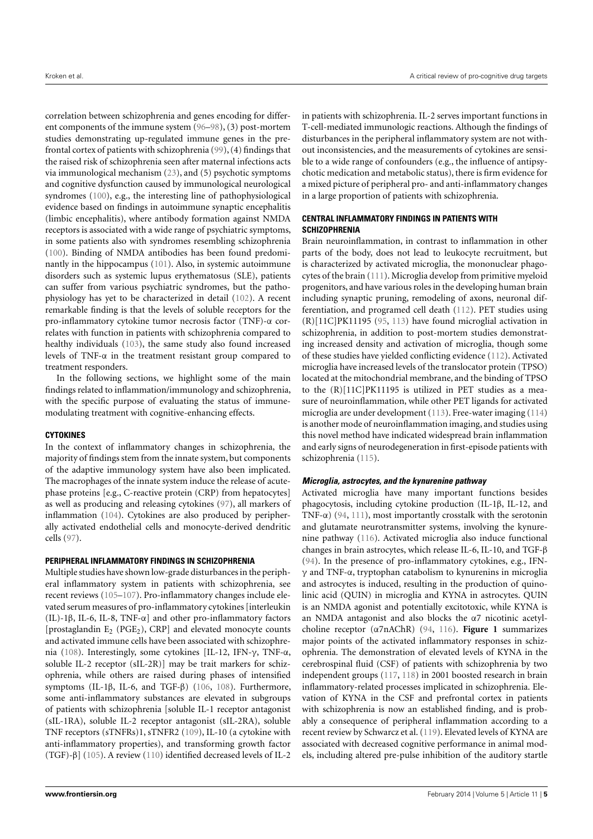correlation between schizophrenia and genes encoding for different components of the immune system [\(96–](#page-11-5)[98\)](#page-11-6), (3) post-mortem studies demonstrating up-regulated immune genes in the prefrontal cortex of patients with schizophrenia [\(99\)](#page-11-7), (4) findings that the raised risk of schizophrenia seen after maternal infections acts via immunological mechanism [\(23\)](#page-9-12), and (5) psychotic symptoms and cognitive dysfunction caused by immunological neurological syndromes [\(100\)](#page-11-8), e.g., the interesting line of pathophysiological evidence based on findings in autoimmune synaptic encephalitis (limbic encephalitis), where antibody formation against NMDA receptors is associated with a wide range of psychiatric symptoms, in some patients also with syndromes resembling schizophrenia [\(100\)](#page-11-8). Binding of NMDA antibodies has been found predominantly in the hippocampus [\(101\)](#page-11-9). Also, in systemic autoimmune disorders such as systemic lupus erythematosus (SLE), patients can suffer from various psychiatric syndromes, but the pathophysiology has yet to be characterized in detail [\(102\)](#page-11-10). A recent remarkable finding is that the levels of soluble receptors for the pro-inflammatory cytokine tumor necrosis factor (TNF)-α correlates with function in patients with schizophrenia compared to healthy individuals [\(103\)](#page-11-11), the same study also found increased levels of TNF-α in the treatment resistant group compared to treatment responders.

In the following sections, we highlight some of the main findings related to inflammation/immunology and schizophrenia, with the specific purpose of evaluating the status of immunemodulating treatment with cognitive-enhancing effects.

## **CYTOKINES**

In the context of inflammatory changes in schizophrenia, the majority of findings stem from the innate system, but components of the adaptive immunology system have also been implicated. The macrophages of the innate system induce the release of acutephase proteins [e.g., C-reactive protein (CRP) from hepatocytes] as well as producing and releasing cytokines [\(97\)](#page-11-12), all markers of inflammation [\(104\)](#page-11-13). Cytokines are also produced by peripherally activated endothelial cells and monocyte-derived dendritic cells [\(97\)](#page-11-12).

## **PERIPHERAL INFLAMMATORY FINDINGS IN SCHIZOPHRENIA**

Multiple studies have shown low-grade disturbances in the peripheral inflammatory system in patients with schizophrenia, see recent reviews [\(105](#page-11-14)[–107\)](#page-11-15). Pro-inflammatory changes include elevated serum measures of pro-inflammatory cytokines [interleukin (IL)-1β, IL-6, IL-8, TNF-α] and other pro-inflammatory factors [prostaglandin  $E_2$  (PGE<sub>2</sub>), CRP] and elevated monocyte counts and activated immune cells have been associated with schizophrenia [\(108\)](#page-11-16). Interestingly, some cytokines [IL-12, IFN-γ, TNF-α, soluble IL-2 receptor (sIL-2R)] may be trait markers for schizophrenia, while others are raised during phases of intensified symptoms (IL-1β, IL-6, and TGF-β) [\(106,](#page-11-17) [108\)](#page-11-16). Furthermore, some anti-inflammatory substances are elevated in subgroups of patients with schizophrenia [soluble IL-1 receptor antagonist (sIL-1RA), soluble IL-2 receptor antagonist (sIL-2RA), soluble TNF receptors (sTNFRs)1, sTNFR2 [\(109\)](#page-11-18), IL-10 (a cytokine with anti-inflammatory properties), and transforming growth factor (TGF)-β] [\(105\)](#page-11-14). A review [\(110\)](#page-11-19) identified decreased levels of IL-2

in patients with schizophrenia. IL-2 serves important functions in T-cell-mediated immunologic reactions. Although the findings of disturbances in the peripheral inflammatory system are not without inconsistencies, and the measurements of cytokines are sensible to a wide range of confounders (e.g., the influence of antipsychotic medication and metabolic status), there is firm evidence for a mixed picture of peripheral pro- and anti-inflammatory changes in a large proportion of patients with schizophrenia.

## **CENTRAL INFLAMMATORY FINDINGS IN PATIENTS WITH SCHIZOPHRENIA**

Brain neuroinflammation, in contrast to inflammation in other parts of the body, does not lead to leukocyte recruitment, but is characterized by activated microglia, the mononuclear phagocytes of the brain [\(111\)](#page-11-20). Microglia develop from primitive myeloid progenitors, and have various roles in the developing human brain including synaptic pruning, remodeling of axons, neuronal differentiation, and programed cell death [\(112\)](#page-11-21). PET studies using (R)[11C]PK11195 [\(95,](#page-11-4) [113\)](#page-11-22) have found microglial activation in schizophrenia, in addition to post-mortem studies demonstrating increased density and activation of microglia, though some of these studies have yielded conflicting evidence [\(112\)](#page-11-21). Activated microglia have increased levels of the translocator protein (TPSO) located at the mitochondrial membrane, and the binding of TPSO to the (R)[11C]PK11195 is utilized in PET studies as a measure of neuroinflammation, while other PET ligands for activated microglia are under development [\(113\)](#page-11-22). Free-water imaging [\(114\)](#page-11-23) is another mode of neuroinflammation imaging, and studies using this novel method have indicated widespread brain inflammation and early signs of neurodegeneration in first-episode patients with schizophrenia [\(115\)](#page-11-24).

## **Microglia, astrocytes, and the kynurenine pathway**

Activated microglia have many important functions besides phagocytosis, including cytokine production (IL-1β, IL-12, and TNF- $\alpha$ ) [\(94,](#page-11-3) [111\)](#page-11-20), most importantly crosstalk with the serotonin and glutamate neurotransmitter systems, involving the kynurenine pathway [\(116\)](#page-11-25). Activated microglia also induce functional changes in brain astrocytes, which release IL-6, IL-10, and TGF-β [\(94\)](#page-11-3). In the presence of pro-inflammatory cytokines, e.g., IFNγ and TNF-α, tryptophan catabolism to kynurenins in microglia and astrocytes is induced, resulting in the production of quinolinic acid (QUIN) in microglia and KYNA in astrocytes. QUIN is an NMDA agonist and potentially excitotoxic, while KYNA is an NMDA antagonist and also blocks the α7 nicotinic acetylcholine receptor (α7nAChR) [\(94,](#page-11-3) [116\)](#page-11-25). **[Figure 1](#page-5-0)** summarizes major points of the activated inflammatory responses in schizophrenia. The demonstration of elevated levels of KYNA in the cerebrospinal fluid (CSF) of patients with schizophrenia by two independent groups [\(117,](#page-11-26) [118\)](#page-11-27) in 2001 boosted research in brain inflammatory-related processes implicated in schizophrenia. Elevation of KYNA in the CSF and prefrontal cortex in patients with schizophrenia is now an established finding, and is probably a consequence of peripheral inflammation according to a recent review by Schwarcz et al. [\(119\)](#page-11-28). Elevated levels of KYNA are associated with decreased cognitive performance in animal models, including altered pre-pulse inhibition of the auditory startle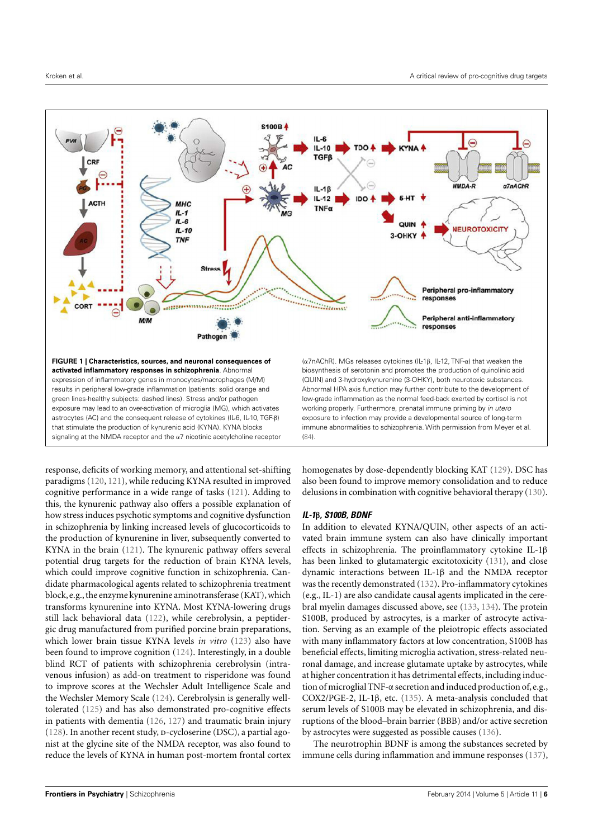

<span id="page-5-0"></span>response, deficits of working memory, and attentional set-shifting paradigms [\(120,](#page-11-29) [121\)](#page-11-30), while reducing KYNA resulted in improved cognitive performance in a wide range of tasks [\(121\)](#page-11-30). Adding to this, the kynurenic pathway also offers a possible explanation of how stress induces psychotic symptoms and cognitive dysfunction in schizophrenia by linking increased levels of glucocorticoids to the production of kynurenine in liver, subsequently converted to KYNA in the brain [\(121\)](#page-11-30). The kynurenic pathway offers several potential drug targets for the reduction of brain KYNA levels, which could improve cognitive function in schizophrenia. Candidate pharmacological agents related to schizophrenia treatment block, e.g., the enzyme kynurenine aminotransferase (KAT), which transforms kynurenine into KYNA. Most KYNA-lowering drugs still lack behavioral data [\(122\)](#page-11-31), while cerebrolysin, a peptidergic drug manufactured from purified porcine brain preparations, which lower brain tissue KYNA levels *in vitro* [\(123\)](#page-11-32) also have been found to improve cognition [\(124\)](#page-11-33). Interestingly, in a double blind RCT of patients with schizophrenia cerebrolysin (intravenous infusion) as add-on treatment to risperidone was found to improve scores at the Wechsler Adult Intelligence Scale and the Wechsler Memory Scale [\(124\)](#page-11-33). Cerebrolysin is generally welltolerated [\(125\)](#page-11-34) and has also demonstrated pro-cognitive effects in patients with dementia [\(126,](#page-11-35) [127\)](#page-11-36) and traumatic brain injury  $(128)$ . In another recent study, p-cycloserine (DSC), a partial agonist at the glycine site of the NMDA receptor, was also found to reduce the levels of KYNA in human post-mortem frontal cortex homogenates by dose-dependently blocking KAT [\(129\)](#page-11-38). DSC has also been found to improve memory consolidation and to reduce delusions in combination with cognitive behavioral therapy [\(130\)](#page-11-39).

## **IL-1**β**, S100B, BDNF**

In addition to elevated KYNA/QUIN, other aspects of an activated brain immune system can also have clinically important effects in schizophrenia. The proinflammatory cytokine IL-1β has been linked to glutamatergic excitotoxicity [\(131\)](#page-11-40), and close dynamic interactions between IL-1β and the NMDA receptor was the recently demonstrated [\(132\)](#page-11-41). Pro-inflammatory cytokines (e.g., IL-1) are also candidate causal agents implicated in the cerebral myelin damages discussed above, see [\(133,](#page-12-0) [134\)](#page-12-1). The protein S100B, produced by astrocytes, is a marker of astrocyte activation. Serving as an example of the pleiotropic effects associated with many inflammatory factors at low concentration, S100B has beneficial effects, limiting microglia activation, stress-related neuronal damage, and increase glutamate uptake by astrocytes, while at higher concentration it has detrimental effects, including induction of microglial TNF-α secretion and induced production of,e.g., COX2/PGE-2, IL-1β, etc. [\(135\)](#page-12-2). A meta-analysis concluded that serum levels of S100B may be elevated in schizophrenia, and disruptions of the blood–brain barrier (BBB) and/or active secretion by astrocytes were suggested as possible causes [\(136\)](#page-12-3).

The neurotrophin BDNF is among the substances secreted by immune cells during inflammation and immune responses [\(137\)](#page-12-4),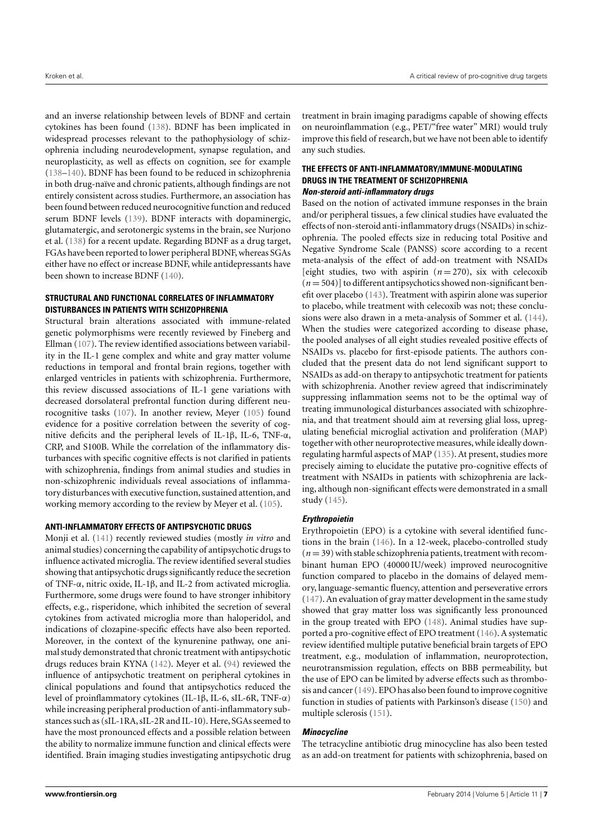and an inverse relationship between levels of BDNF and certain cytokines has been found [\(138\)](#page-12-5). BDNF has been implicated in widespread processes relevant to the pathophysiology of schizophrenia including neurodevelopment, synapse regulation, and neuroplasticity, as well as effects on cognition, see for example [\(138](#page-12-5)[–140\)](#page-12-6). BDNF has been found to be reduced in schizophrenia in both drug-naïve and chronic patients, although findings are not entirely consistent across studies. Furthermore, an association has been found between reduced neurocognitive function and reduced serum BDNF levels [\(139\)](#page-12-7). BDNF interacts with dopaminergic, glutamatergic, and serotonergic systems in the brain, see Nurjono et al. [\(138\)](#page-12-5) for a recent update. Regarding BDNF as a drug target, FGAs have been reported to lower peripheral BDNF, whereas SGAs either have no effect or increase BDNF, while antidepressants have been shown to increase BDNF [\(140\)](#page-12-6).

## **STRUCTURAL AND FUNCTIONAL CORRELATES OF INFLAMMATORY DISTURBANCES IN PATIENTS WITH SCHIZOPHRENIA**

Structural brain alterations associated with immune-related genetic polymorphisms were recently reviewed by Fineberg and Ellman [\(107\)](#page-11-15). The review identified associations between variability in the IL-1 gene complex and white and gray matter volume reductions in temporal and frontal brain regions, together with enlarged ventricles in patients with schizophrenia. Furthermore, this review discussed associations of IL-1 gene variations with decreased dorsolateral prefrontal function during different neurocognitive tasks [\(107\)](#page-11-15). In another review, Meyer [\(105\)](#page-11-14) found evidence for a positive correlation between the severity of cognitive deficits and the peripheral levels of IL-1β, IL-6, TNF-α, CRP, and S100B. While the correlation of the inflammatory disturbances with specific cognitive effects is not clarified in patients with schizophrenia, findings from animal studies and studies in non-schizophrenic individuals reveal associations of inflammatory disturbances with executive function, sustained attention, and working memory according to the review by Meyer et al. [\(105\)](#page-11-14).

## **ANTI-INFLAMMATORY EFFECTS OF ANTIPSYCHOTIC DRUGS**

Monji et al. [\(141\)](#page-12-8) recently reviewed studies (mostly *in vitro* and animal studies) concerning the capability of antipsychotic drugs to influence activated microglia. The review identified several studies showing that antipsychotic drugs significantly reduce the secretion of TNF-α, nitric oxide, IL-1β, and IL-2 from activated microglia. Furthermore, some drugs were found to have stronger inhibitory effects, e.g., risperidone, which inhibited the secretion of several cytokines from activated microglia more than haloperidol, and indications of clozapine-specific effects have also been reported. Moreover, in the context of the kynurenine pathway, one animal study demonstrated that chronic treatment with antipsychotic drugs reduces brain KYNA [\(142\)](#page-12-9). Meyer et al. [\(94\)](#page-11-3) reviewed the influence of antipsychotic treatment on peripheral cytokines in clinical populations and found that antipsychotics reduced the level of proinflammatory cytokines (IL-1β, IL-6, sIL-6R, TNF-α) while increasing peripheral production of anti-inflammatory substances such as (sIL-1RA, sIL-2R and IL-10). Here, SGAs seemed to have the most pronounced effects and a possible relation between the ability to normalize immune function and clinical effects were identified. Brain imaging studies investigating antipsychotic drug treatment in brain imaging paradigms capable of showing effects on neuroinflammation (e.g., PET/"free water" MRI) would truly improve this field of research, but we have not been able to identify any such studies.

## **THE EFFECTS OF ANTI-INFLAMMATORY/IMMUNE-MODULATING DRUGS IN THE TREATMENT OF SCHIZOPHRENIA Non-steroid anti-inflammatory drugs**

Based on the notion of activated immune responses in the brain and/or peripheral tissues, a few clinical studies have evaluated the effects of non-steroid anti-inflammatory drugs (NSAIDs) in schizophrenia. The pooled effects size in reducing total Positive and Negative Syndrome Scale (PANSS) score according to a recent meta-analysis of the effect of add-on treatment with NSAIDs [eight studies, two with aspirin  $(n=270)$ , six with celecoxib  $(n=504)$ ] to different antipsychotics showed non-significant benefit over placebo [\(143\)](#page-12-10). Treatment with aspirin alone was superior to placebo, while treatment with celecoxib was not; these conclusions were also drawn in a meta-analysis of Sommer et al. [\(144\)](#page-12-11). When the studies were categorized according to disease phase, the pooled analyses of all eight studies revealed positive effects of NSAIDs vs. placebo for first-episode patients. The authors concluded that the present data do not lend significant support to NSAIDs as add-on therapy to antipsychotic treatment for patients with schizophrenia. Another review agreed that indiscriminately suppressing inflammation seems not to be the optimal way of treating immunological disturbances associated with schizophrenia, and that treatment should aim at reversing glial loss, upregulating beneficial microglial activation and proliferation (MAP) together with other neuroprotective measures, while ideally downregulating harmful aspects of MAP [\(135\)](#page-12-2). At present, studies more precisely aiming to elucidate the putative pro-cognitive effects of treatment with NSAIDs in patients with schizophrenia are lacking, although non-significant effects were demonstrated in a small study [\(145\)](#page-12-12).

# **Erythropoietin**

Erythropoietin (EPO) is a cytokine with several identified functions in the brain [\(146\)](#page-12-13). In a 12-week, placebo-controlled study  $(n = 39)$  with stable schizophrenia patients, treatment with recombinant human EPO (40000 IU/week) improved neurocognitive function compared to placebo in the domains of delayed memory, language-semantic fluency, attention and perseverative errors [\(147\)](#page-12-14). An evaluation of gray matter development in the same study showed that gray matter loss was significantly less pronounced in the group treated with EPO [\(148\)](#page-12-15). Animal studies have supported a pro-cognitive effect of EPO treatment [\(146\)](#page-12-13). A systematic review identified multiple putative beneficial brain targets of EPO treatment, e.g., modulation of inflammation, neuroprotection, neurotransmission regulation, effects on BBB permeability, but the use of EPO can be limited by adverse effects such as thrombosis and cancer [\(149\)](#page-12-16). EPO has also been found to improve cognitive function in studies of patients with Parkinson's disease [\(150\)](#page-12-17) and multiple sclerosis [\(151\)](#page-12-18).

# **Minocycline**

The tetracycline antibiotic drug minocycline has also been tested as an add-on treatment for patients with schizophrenia, based on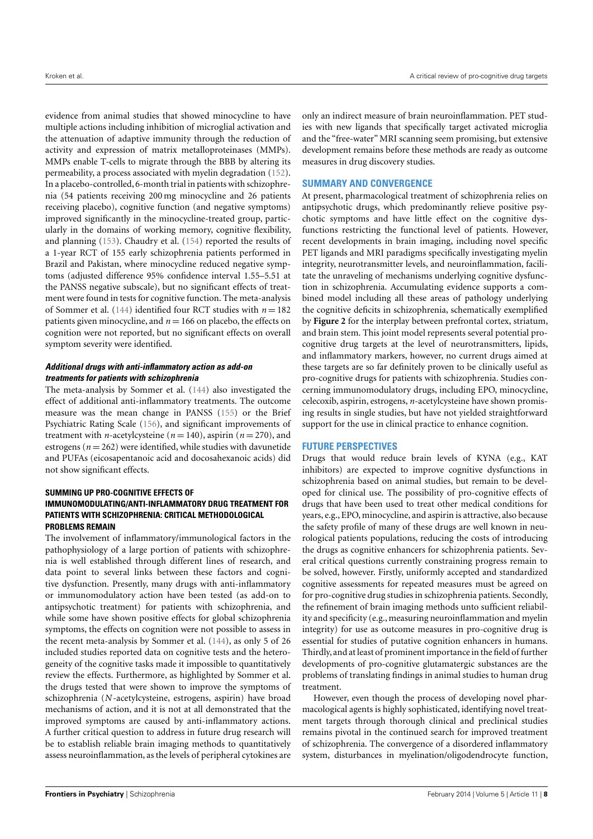evidence from animal studies that showed minocycline to have multiple actions including inhibition of microglial activation and the attenuation of adaptive immunity through the reduction of activity and expression of matrix metalloproteinases (MMPs). MMPs enable T-cells to migrate through the BBB by altering its permeability, a process associated with myelin degradation [\(152\)](#page-12-19). In a placebo-controlled, 6-month trial in patients with schizophrenia (54 patients receiving 200 mg minocycline and 26 patients receiving placebo), cognitive function (and negative symptoms) improved significantly in the minocycline-treated group, particularly in the domains of working memory, cognitive flexibility, and planning [\(153\)](#page-12-20). Chaudry et al. [\(154\)](#page-12-21) reported the results of a 1-year RCT of 155 early schizophrenia patients performed in Brazil and Pakistan, where minocycline reduced negative symptoms (adjusted difference 95% confidence interval 1.55–5.51 at the PANSS negative subscale), but no significant effects of treatment were found in tests for cognitive function. The meta-analysis of Sommer et al. [\(144\)](#page-12-11) identified four RCT studies with *n* = 182 patients given minocycline, and  $n = 166$  on placebo, the effects on cognition were not reported, but no significant effects on overall symptom severity were identified.

## **Additional drugs with anti-inflammatory action as add-on treatments for patients with schizophrenia**

The meta-analysis by Sommer et al. [\(144\)](#page-12-11) also investigated the effect of additional anti-inflammatory treatments. The outcome measure was the mean change in PANSS [\(155\)](#page-12-22) or the Brief Psychiatric Rating Scale [\(156\)](#page-12-23), and significant improvements of treatment with *n*-acetylcysteine ( $n = 140$ ), aspirin ( $n = 270$ ), and estrogens ( $n = 262$ ) were identified, while studies with davunetide and PUFAs (eicosapentanoic acid and docosahexanoic acids) did not show significant effects.

## **SUMMING UP PRO-COGNITIVE EFFECTS OF IMMUNOMODULATING/ANTI-INFLAMMATORY DRUG TREATMENT FOR PATIENTS WITH SCHIZOPHRENIA: CRITICAL METHODOLOGICAL PROBLEMS REMAIN**

The involvement of inflammatory/immunological factors in the pathophysiology of a large portion of patients with schizophrenia is well established through different lines of research, and data point to several links between these factors and cognitive dysfunction. Presently, many drugs with anti-inflammatory or immunomodulatory action have been tested (as add-on to antipsychotic treatment) for patients with schizophrenia, and while some have shown positive effects for global schizophrenia symptoms, the effects on cognition were not possible to assess in the recent meta-analysis by Sommer et al. [\(144\)](#page-12-11), as only 5 of 26 included studies reported data on cognitive tests and the heterogeneity of the cognitive tasks made it impossible to quantitatively review the effects. Furthermore, as highlighted by Sommer et al. the drugs tested that were shown to improve the symptoms of schizophrenia (*N*-acetylcysteine, estrogens, aspirin) have broad mechanisms of action, and it is not at all demonstrated that the improved symptoms are caused by anti-inflammatory actions. A further critical question to address in future drug research will be to establish reliable brain imaging methods to quantitatively assess neuroinflammation, as the levels of peripheral cytokines are only an indirect measure of brain neuroinflammation. PET studies with new ligands that specifically target activated microglia and the "free-water" MRI scanning seem promising, but extensive development remains before these methods are ready as outcome measures in drug discovery studies.

## **SUMMARY AND CONVERGENCE**

At present, pharmacological treatment of schizophrenia relies on antipsychotic drugs, which predominantly relieve positive psychotic symptoms and have little effect on the cognitive dysfunctions restricting the functional level of patients. However, recent developments in brain imaging, including novel specific PET ligands and MRI paradigms specifically investigating myelin integrity, neurotransmitter levels, and neuroinflammation, facilitate the unraveling of mechanisms underlying cognitive dysfunction in schizophrenia. Accumulating evidence supports a combined model including all these areas of pathology underlying the cognitive deficits in schizophrenia, schematically exemplified by **[Figure 2](#page-8-9)** for the interplay between prefrontal cortex, striatum, and brain stem. This joint model represents several potential procognitive drug targets at the level of neurotransmitters, lipids, and inflammatory markers, however, no current drugs aimed at these targets are so far definitely proven to be clinically useful as pro-cognitive drugs for patients with schizophrenia. Studies concerning immunomodulatory drugs, including EPO, minocycline, celecoxib, aspirin, estrogens, *n*-acetylcysteine have shown promising results in single studies, but have not yielded straightforward support for the use in clinical practice to enhance cognition.

# **FUTURE PERSPECTIVES**

Drugs that would reduce brain levels of KYNA (e.g., KAT inhibitors) are expected to improve cognitive dysfunctions in schizophrenia based on animal studies, but remain to be developed for clinical use. The possibility of pro-cognitive effects of drugs that have been used to treat other medical conditions for years, e.g., EPO, minocycline, and aspirin is attractive, also because the safety profile of many of these drugs are well known in neurological patients populations, reducing the costs of introducing the drugs as cognitive enhancers for schizophrenia patients. Several critical questions currently constraining progress remain to be solved, however. Firstly, uniformly accepted and standardized cognitive assessments for repeated measures must be agreed on for pro-cognitive drug studies in schizophrenia patients. Secondly, the refinement of brain imaging methods unto sufficient reliability and specificity (e.g., measuring neuroinflammation and myelin integrity) for use as outcome measures in pro-cognitive drug is essential for studies of putative cognition enhancers in humans. Thirdly, and at least of prominent importance in the field of further developments of pro-cognitive glutamatergic substances are the problems of translating findings in animal studies to human drug treatment.

However, even though the process of developing novel pharmacological agents is highly sophisticated, identifying novel treatment targets through thorough clinical and preclinical studies remains pivotal in the continued search for improved treatment of schizophrenia. The convergence of a disordered inflammatory system, disturbances in myelination/oligodendrocyte function,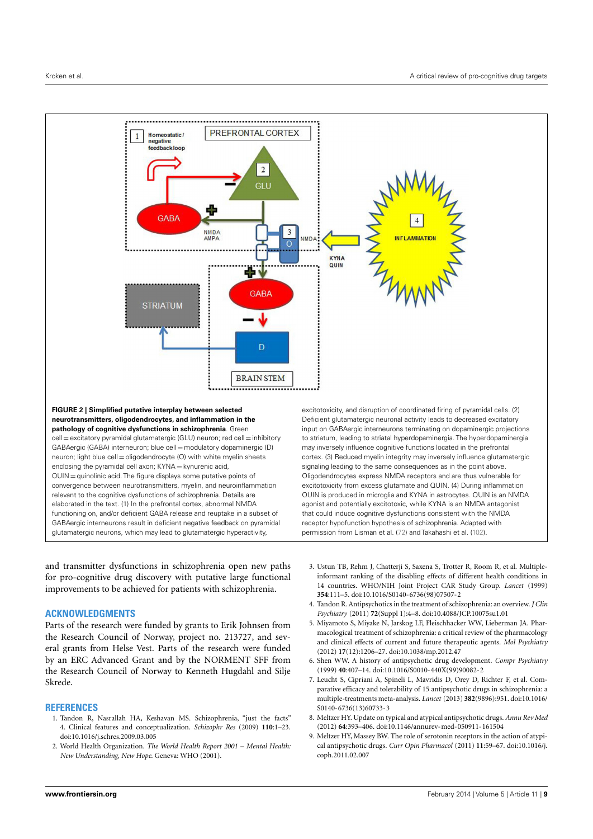

<span id="page-8-9"></span>and transmitter dysfunctions in schizophrenia open new paths for pro-cognitive drug discovery with putative large functional improvements to be achieved for patients with schizophrenia.

## **ACKNOWLEDGMENTS**

Parts of the research were funded by grants to Erik Johnsen from the Research Council of Norway, project no. 213727, and several grants from Helse Vest. Parts of the research were funded by an ERC Advanced Grant and by the NORMENT SFF from the Research Council of Norway to Kenneth Hugdahl and Silje Skrede.

## **REFERENCES**

- <span id="page-8-0"></span>1. Tandon R, Nasrallah HA, Keshavan MS. Schizophrenia, "just the facts" 4. Clinical features and conceptualization. *Schizophr Res* (2009) **110**:1–23. doi[:10.1016/j.schres.2009.03.005](http://dx.doi.org/10.1016/j.schres.2009.03.005)
- <span id="page-8-1"></span>2. World Health Organization. *The World Health Report 2001 – Mental Health: New Understanding, New Hope*. Geneva: WHO (2001).
- <span id="page-8-2"></span>3. Ustun TB, Rehm J, Chatterji S, Saxena S, Trotter R, Room R, et al. Multipleinformant ranking of the disabling effects of different health conditions in 14 countries. WHO/NIH Joint Project CAR Study Group. *Lancet* (1999) **354**:111–5. doi[:10.1016/S0140-6736\(98\)07507-2](http://dx.doi.org/10.1016/S0140-6736(98)07507-2)
- <span id="page-8-3"></span>4. Tandon R. Antipsychotics in the treatment of schizophrenia: an overview.*J Clin Psychiatry* (2011) **72**(Suppl 1):4–8. doi[:10.4088/JCP.10075su1.01](http://dx.doi.org/10.4088/JCP.10075su1.01)
- <span id="page-8-4"></span>5. Miyamoto S, Miyake N, Jarskog LF, Fleischhacker WW, Lieberman JA. Pharmacological treatment of schizophrenia: a critical review of the pharmacology and clinical effects of current and future therapeutic agents. *Mol Psychiatry* (2012) **17**(12):1206–27. doi[:10.1038/mp.2012.47](http://dx.doi.org/10.1038/mp.2012.47)
- <span id="page-8-5"></span>6. Shen WW. A history of antipsychotic drug development. *Compr Psychiatry* (1999) **40**:407–14. doi[:10.1016/S0010-440X\(99\)90082-2](http://dx.doi.org/10.1016/S0010-440X(99)90082-2)
- <span id="page-8-6"></span>7. Leucht S, Cipriani A, Spineli L, Mavridis D, Orey D, Richter F, et al. Comparative efficacy and tolerability of 15 antipsychotic drugs in schizophrenia: a multiple-treatments meta-analysis. *Lancet* (2013) **382**(9896):951. doi[:10.1016/](http://dx.doi.org/10.1016/S0140-6736(13)60733-3) [S0140-6736\(13\)60733-3](http://dx.doi.org/10.1016/S0140-6736(13)60733-3)
- <span id="page-8-7"></span>8. Meltzer HY. Update on typical and atypical antipsychotic drugs. *Annu Rev Med* (2012) **64**:393–406. doi[:10.1146/annurev-med-050911-161504](http://dx.doi.org/10.1146/annurev-med-050911-161504)
- <span id="page-8-8"></span>9. Meltzer HY, Massey BW. The role of serotonin receptors in the action of atypical antipsychotic drugs. *Curr Opin Pharmacol* (2011) **11**:59–67. doi[:10.1016/j.](http://dx.doi.org/10.1016/j.coph.2011.02.007) [coph.2011.02.007](http://dx.doi.org/10.1016/j.coph.2011.02.007)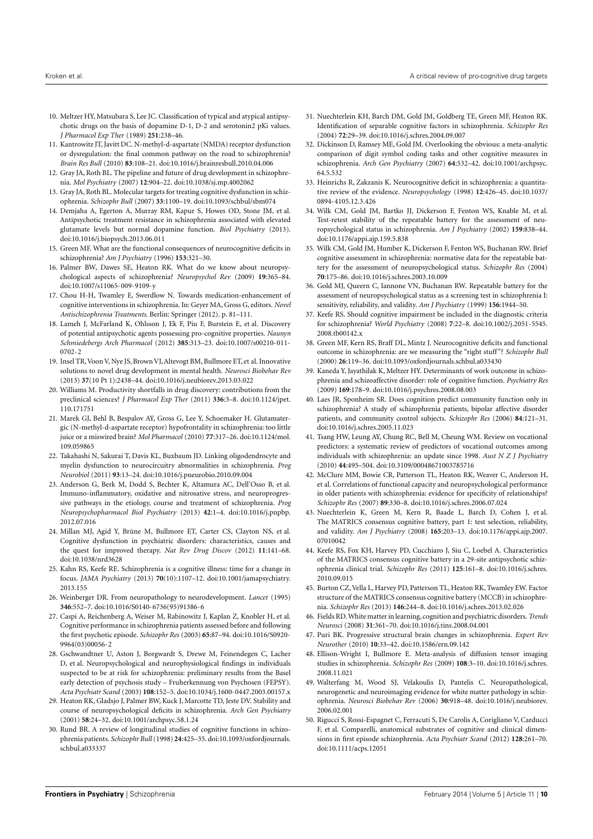- <span id="page-9-0"></span>10. Meltzer HY, Matsubara S, Lee JC. Classification of typical and atypical antipsychotic drugs on the basis of dopamine D-1, D-2 and serotonin2 pKi values. *J Pharmacol Exp Ther* (1989) **251**:238–46.
- <span id="page-9-1"></span>11. Kantrowitz JT, Javitt DC. N-methyl-d-aspartate (NMDA) receptor dysfunction or dysregulation: the final common pathway on the road to schizophrenia? *Brain Res Bull* (2010) **83**:108–21. doi[:10.1016/j.brainresbull.2010.04.006](http://dx.doi.org/10.1016/j.brainresbull.2010.04.006)
- 12. Gray JA, Roth BL. The pipeline and future of drug development in schizophrenia. *Mol Psychiatry* (2007) **12**:904–22. doi[:10.1038/sj.mp.4002062](http://dx.doi.org/10.1038/sj.mp.4002062)
- <span id="page-9-2"></span>13. Gray JA, Roth BL. Molecular targets for treating cognitive dysfunction in schizophrenia. *Schizophr Bull* (2007) **33**:1100–19. doi[:10.1093/schbul/sbm074](http://dx.doi.org/10.1093/schbul/sbm074)
- <span id="page-9-3"></span>14. Demjaha A, Egerton A, Murray RM, Kapur S, Howes OD, Stone JM, et al. Antipsychotic treatment resistance in schizophrenia associated with elevated glutamate levels but normal dopamine function. *Biol Psychiatry* (2013). doi[:10.1016/j.biopsych.2013.06.011](http://dx.doi.org/10.1016/j.biopsych.2013.06.011)
- <span id="page-9-4"></span>15. Green MF. What are the functional consequences of neurocognitive deficits in schizophrenia? *Am J Psychiatry* (1996) **153**:321–30.
- <span id="page-9-5"></span>16. Palmer BW, Dawes SE, Heaton RK. What do we know about neuropsychological aspects of schizophrenia? *Neuropsychol Rev* (2009) **19**:365–84. doi[:10.1007/s11065-009-9109-y](http://dx.doi.org/10.1007/s11065-009-9109-y)
- <span id="page-9-6"></span>17. Chou H-H, Twamley E, Swerdlow N. Towards medication-enhancement of cognitive interventions in schizophrenia. In: Geyer MA, Gross G, editors. *Novel Antischizophrenia Treatments*. Berlin: Springer (2012). p. 81–111.
- <span id="page-9-7"></span>18. Lameh J, McFarland K, Ohlsson J, Ek F, Piu F, Burstein E, et al. Discovery of potential antipsychotic agents possessing pro-cognitive properties. *Naunyn Schmiedebergs Arch Pharmacol* (2012) **385**:313–23. doi[:10.1007/s00210-011-](http://dx.doi.org/10.1007/s00210-011-0702-2) [0702-2](http://dx.doi.org/10.1007/s00210-011-0702-2)
- <span id="page-9-8"></span>19. Insel TR,Voon V, Nye JS, Brown VJ, Altevogt BM, Bullmore ET, et al. Innovative solutions to novel drug development in mental health. *Neurosci Biobehav Rev* (2013) **37**(10 Pt 1):2438–44. doi[:10.1016/j.neubiorev.2013.03.022](http://dx.doi.org/10.1016/j.neubiorev.2013.03.022)
- <span id="page-9-9"></span>20. Williams M. Productivity shortfalls in drug discovery: contributions from the preclinical sciences? *J Pharmacol Exp Ther* (2011) **336**:3–8. doi[:10.1124/jpet.](http://dx.doi.org/10.1124/jpet.110.171751) [110.171751](http://dx.doi.org/10.1124/jpet.110.171751)
- <span id="page-9-10"></span>21. Marek GJ, Behl B, Bespalov AY, Gross G, Lee Y, Schoemaker H. Glutamatergic (N-methyl-d-aspartate receptor) hypofrontality in schizophrenia: too little juice or a miswired brain? *Mol Pharmacol* (2010) **77**:317–26. doi[:10.1124/mol.](http://dx.doi.org/10.1124/mol.109.059865) [109.059865](http://dx.doi.org/10.1124/mol.109.059865)
- <span id="page-9-11"></span>22. Takahashi N, Sakurai T, Davis KL, Buxbaum JD. Linking oligodendrocyte and myelin dysfunction to neurocircuitry abnormalities in schizophrenia. *Prog Neurobiol* (2011) **93**:13–24. doi[:10.1016/j.pneurobio.2010.09.004](http://dx.doi.org/10.1016/j.pneurobio.2010.09.004)
- <span id="page-9-12"></span>23. Anderson G, Berk M, Dodd S, Bechter K, Altamura AC, Dell'Osso B, et al. Immuno-inflammatory, oxidative and nitrosative stress, and neuroprogressive pathways in the etiology, course and treatment of schizophrenia. *Prog Neuropsychopharmacol Biol Psychiatry* (2013) **42**:1–4. doi[:10.1016/j.pnpbp.](http://dx.doi.org/10.1016/j.pnpbp.2012.07.016) [2012.07.016](http://dx.doi.org/10.1016/j.pnpbp.2012.07.016)
- <span id="page-9-13"></span>24. Millan MJ, Agid Y, Brüne M, Bullmore ET, Carter CS, Clayton NS, et al. Cognitive dysfunction in psychiatric disorders: characteristics, causes and the quest for improved therapy. *Nat Rev Drug Discov* (2012) **11**:141–68. doi[:10.1038/nrd3628](http://dx.doi.org/10.1038/nrd3628)
- <span id="page-9-14"></span>25. Kahn RS, Keefe RE. Schizophrenia is a cognitive illness: time for a change in focus. *JAMA Psychiatry* (2013) **70**(10):1107–12. doi[:10.1001/jamapsychiatry.](http://dx.doi.org/10.1001/jamapsychiatry.2013.155) [2013.155](http://dx.doi.org/10.1001/jamapsychiatry.2013.155)
- 26. Weinberger DR. From neuropathology to neurodevelopment. *Lancet* (1995) **346**:552–7. doi[:10.1016/S0140-6736\(95\)91386-6](http://dx.doi.org/10.1016/S0140-6736(95)91386-6)
- 27. Caspi A, Reichenberg A, Weiser M, Rabinowitz J, Kaplan Z, Knobler H, et al. Cognitive performance in schizophrenia patients assessed before and following the first psychotic episode. *Schizophr Res* (2003) **65**:87–94. doi[:10.1016/S0920-](http://dx.doi.org/10.1016/S0920-9964(03)00056-2) [9964\(03\)00056-2](http://dx.doi.org/10.1016/S0920-9964(03)00056-2)
- <span id="page-9-15"></span>28. Gschwandtner U, Aston J, Borgwardt S, Drewe M, Feinendegen C, Lacher D, et al. Neuropsychological and neurophysiological findings in individuals suspected to be at risk for schizophrenia: preliminary results from the Basel early detection of psychosis study – Fruherkennung von Psychosen (FEPSY). *Acta Psychiatr Scand* (2003) **108**:152–5. doi[:10.1034/j.1600-0447.2003.00157.x](http://dx.doi.org/10.1034/j.1600-0447.2003.00157.x)
- <span id="page-9-16"></span>29. Heaton RK, Gladsjo J, Palmer BW, Kuck J, Marcotte TD, Jeste DV. Stability and course of neuropsychological deficits in schizophrenia. *Arch Gen Psychiatry* (2001) **58**:24–32. doi[:10.1001/archpsyc.58.1.24](http://dx.doi.org/10.1001/archpsyc.58.1.24)
- <span id="page-9-17"></span>30. Rund BR. A review of longitudinal studies of cognitive functions in schizophrenia patients. *Schizophr Bull* (1998) **24**:425–35. doi[:10.1093/oxfordjournals.](http://dx.doi.org/10.1093/oxfordjournals.schbul.a033337) [schbul.a033337](http://dx.doi.org/10.1093/oxfordjournals.schbul.a033337)
- <span id="page-9-18"></span>31. Nuechterlein KH, Barch DM, Gold JM, Goldberg TE, Green MF, Heaton RK. Identification of separable cognitive factors in schizophrenia. *Schizophr Res* (2004) **72**:29–39. doi[:10.1016/j.schres.2004.09.007](http://dx.doi.org/10.1016/j.schres.2004.09.007)
- <span id="page-9-19"></span>32. Dickinson D, Ramsey ME, Gold JM. Overlooking the obvious: a meta-analytic comparison of digit symbol coding tasks and other cognitive measures in schizophrenia. *Arch Gen Psychiatry* (2007) **64**:532–42. doi[:10.1001/archpsyc.](http://dx.doi.org/10.1001/archpsyc.64.5.532) [64.5.532](http://dx.doi.org/10.1001/archpsyc.64.5.532)
- <span id="page-9-20"></span>33. Heinrichs R, Zakzanis K. Neurocognitive deficit in schizophrenia: a quantitative review of the evidence. *Neuropsychology* (1998) **12**:426–45. doi[:10.1037/](http://dx.doi.org/10.1037/0894-4105.12.3.426) [0894-4105.12.3.426](http://dx.doi.org/10.1037/0894-4105.12.3.426)
- <span id="page-9-21"></span>34. Wilk CM, Gold JM, Bartko JJ, Dickerson F, Fenton WS, Knable M, et al. Test-retest stability of the repeatable battery for the assessment of neuropsychological status in schizophrenia. *Am J Psychiatry* (2002) **159**:838–44. doi[:10.1176/appi.ajp.159.5.838](http://dx.doi.org/10.1176/appi.ajp.159.5.838)
- 35. Wilk CM, Gold JM, Humber K, Dickerson F, Fenton WS, Buchanan RW. Brief cognitive assessment in schizophrenia: normative data for the repeatable battery for the assessment of neuropsychological status. *Schizophr Res* (2004) **70**:175–86. doi[:10.1016/j.schres.2003.10.009](http://dx.doi.org/10.1016/j.schres.2003.10.009)
- 36. Gold MJ, Queern C, Iannone VN, Buchanan RW. Repeatable battery for the assessment of neuropsychological status as a screening test in schizophrenia I: sensitivity, reliability, and validity. *Am J Psychiatry* (1999) **156**:1944–50.
- <span id="page-9-22"></span>37. Keefe RS. Should cognitive impairment be included in the diagnostic criteria for schizophrenia? *World Psychiatry* (2008) **7**:22–8. doi[:10.1002/j.2051-5545.](http://dx.doi.org/10.1002/j.2051-5545.2008.tb00142.x) [2008.tb00142.x](http://dx.doi.org/10.1002/j.2051-5545.2008.tb00142.x)
- <span id="page-9-23"></span>38. Green MF, Kern RS, Braff DL, Mintz J. Neurocognitive deficits and functional outcome in schizophrenia: are we measuring the "right stuff"? *Schizophr Bull* (2000) **26**:119–36. doi[:10.1093/oxfordjournals.schbul.a033430](http://dx.doi.org/10.1093/oxfordjournals.schbul.a033430)
- 39. Kaneda Y, Jayathilak K, Meltzer HY. Determinants of work outcome in schizophrenia and schizoaffective disorder: role of cognitive function. *Psychiatry Res* (2009) **169**:178–9. doi[:10.1016/j.psychres.2008.08.003](http://dx.doi.org/10.1016/j.psychres.2008.08.003)
- <span id="page-9-25"></span>40. Laes JR, Sponheim SR. Does cognition predict community function only in schizophrenia? A study of schizophrenia patients, bipolar affective disorder patients, and community control subjects. *Schizophr Res* (2006) **84**:121–31. doi[:10.1016/j.schres.2005.11.023](http://dx.doi.org/10.1016/j.schres.2005.11.023)
- <span id="page-9-24"></span>41. Tsang HW, Leung AY, Chung RC, Bell M, Cheung WM. Review on vocational predictors: a systematic review of predictors of vocational outcomes among individuals with schizophrenia: an update since 1998. *Aust N Z J Psychiatry* (2010) **44**:495–504. doi[:10.3109/00048671003785716](http://dx.doi.org/10.3109/00048671003785716)
- <span id="page-9-26"></span>42. McClure MM, Bowie CR, Patterson TL, Heaton RK, Weaver C, Anderson H, et al. Correlations of functional capacity and neuropsychological performance in older patients with schizophrenia: evidence for specificity of relationships? *Schizophr Res* (2007) **89**:330–8. doi[:10.1016/j.schres.2006.07.024](http://dx.doi.org/10.1016/j.schres.2006.07.024)
- <span id="page-9-27"></span>43. Nuechterlein K, Green M, Kern R, Baade L, Barch D, Cohen J, et al. The MATRICS consensus cognitive battery, part 1: test selection, reliability, and validity. *Am J Psychiatry* (2008) **165**:203–13. doi[:10.1176/appi.ajp.2007.](http://dx.doi.org/10.1176/appi.ajp.2007.07010042) [07010042](http://dx.doi.org/10.1176/appi.ajp.2007.07010042)
- <span id="page-9-28"></span>44. Keefe RS, Fox KH, Harvey PD, Cucchiaro J, Siu C, Loebel A. Characteristics of the MATRICS consensus cognitive battery in a 29-site antipsychotic schizophrenia clinical trial. *Schizophr Res* (2011) **125**:161–8. doi[:10.1016/j.schres.](http://dx.doi.org/10.1016/j.schres.2010.09.015) [2010.09.015](http://dx.doi.org/10.1016/j.schres.2010.09.015)
- <span id="page-9-29"></span>45. Burton CZ, Vella L, Harvey PD, Patterson TL, Heaton RK, Twamley EW. Factor structure of the MATRICS consensus cognitive battery (MCCB) in schizophrenia. *Schizophr Res* (2013) **146**:244–8. doi[:10.1016/j.schres.2013.02.026](http://dx.doi.org/10.1016/j.schres.2013.02.026)
- <span id="page-9-30"></span>46. Fields RD. White matter in learning, cognition and psychiatric disorders.*Trends Neurosci* (2008) **31**:361–70. doi[:10.1016/j.tins.2008.04.001](http://dx.doi.org/10.1016/j.tins.2008.04.001)
- <span id="page-9-31"></span>47. Puri BK. Progressive structural brain changes in schizophrenia. *Expert Rev Neurother* (2010) **10**:33–42. doi[:10.1586/ern.09.142](http://dx.doi.org/10.1586/ern.09.142)
- <span id="page-9-32"></span>48. Ellison-Wright I, Bullmore E. Meta-analysis of diffusion tensor imaging studies in schizophrenia. *Schizophr Res* (2009) **108**:3–10. doi[:10.1016/j.schres.](http://dx.doi.org/10.1016/j.schres.2008.11.021) [2008.11.021](http://dx.doi.org/10.1016/j.schres.2008.11.021)
- <span id="page-9-33"></span>49. Walterfang M, Wood SJ, Velakoulis D, Pantelis C. Neuropathological, neurogenetic and neuroimaging evidence for white matter pathology in schizophrenia. *Neurosci Biobehav Rev* (2006) **30**:918–48. doi[:10.1016/j.neubiorev.](http://dx.doi.org/10.1016/j.neubiorev.2006.02.001) [2006.02.001](http://dx.doi.org/10.1016/j.neubiorev.2006.02.001)
- <span id="page-9-34"></span>50. Rigucci S, Rossi-Espagnet C, Ferracuti S, De Carolis A, Corigliano V, Carducci F, et al. Comparelli, anatomical substrates of cognitive and clinical dimensions in first episode schizophrenia. *Acta Psychiatr Scand* (2012) **128**:261–70. doi[:10.1111/acps.12051](http://dx.doi.org/10.1111/acps.12051)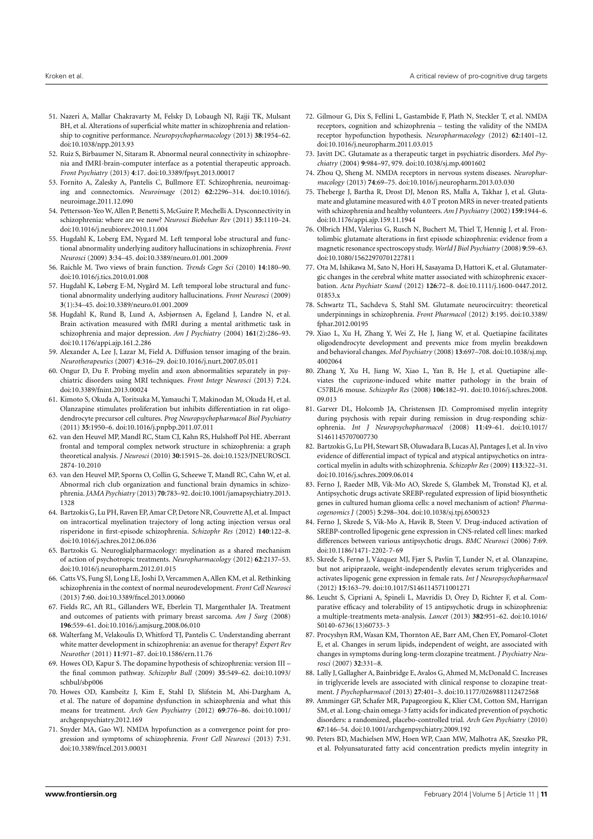- <span id="page-10-0"></span>51. Nazeri A, Mallar Chakravarty M, Felsky D, Lobaugh NJ, Rajji TK, Mulsant BH, et al. Alterations of superficial white matter in schizophrenia and relationship to cognitive performance. *Neuropsychopharmacology* (2013) **38**:1954–62. doi[:10.1038/npp.2013.93](http://dx.doi.org/10.1038/npp.2013.93)
- <span id="page-10-1"></span>52. Ruiz S, Birbaumer N, Sitaram R. Abnormal neural connectivity in schizophrenia and fMRI-brain-computer interface as a potential therapeutic approach. *Front Psychiatry* (2013) **4**:17. doi[:10.3389/fpsyt.2013.00017](http://dx.doi.org/10.3389/fpsyt.2013.00017)
- <span id="page-10-3"></span>53. Fornito A, Zalesky A, Pantelis C, Bullmore ET. Schizophrenia, neuroimaging and connectomics. *Neuroimage* (2012) **62**:2296–314. doi[:10.1016/j.](http://dx.doi.org/10.1016/j.neuroimage.2011.12.090) [neuroimage.2011.12.090](http://dx.doi.org/10.1016/j.neuroimage.2011.12.090)
- <span id="page-10-2"></span>54. Pettersson-Yeo W, Allen P, Benetti S, McGuire P, Mechelli A. Dysconnectivity in schizophrenia: where are we now? *Neurosci Biobehav Rev* (2011) **35**:1110–24. doi[:10.1016/j.neubiorev.2010.11.004](http://dx.doi.org/10.1016/j.neubiorev.2010.11.004)
- <span id="page-10-4"></span>55. Hugdahl K, Loberg EM, Nygard M. Left temporal lobe structural and functional abnormality underlying auditory hallucinations in schizophrenia. *Front Neurosci* (2009) **3**:34–45. doi[:10.3389/neuro.01.001.2009](http://dx.doi.org/10.3389/neuro.01.001.2009)
- <span id="page-10-5"></span>56. Raichle M. Two views of brain function. *Trends Cogn Sci* (2010) **14**:180–90. doi[:10.1016/j.tics.2010.01.008](http://dx.doi.org/10.1016/j.tics.2010.01.008)
- <span id="page-10-6"></span>57. Hugdahl K, Løberg E-M, Nygård M. Left temporal lobe structural and functional abnormality underlying auditory hallucinations. *Front Neurosci* (2009) **3**(1):34–45. doi[:10.3389/neuro.01.001.2009](http://dx.doi.org/10.3389/neuro.01.001.2009)
- <span id="page-10-7"></span>58. Hugdahl K, Rund B, Lund A, Asbjørnsen A, Egeland J, Landrø N, et al. Brain activation measured with fMRI during a mental arithmetic task in schizophrenia and major depression. *Am J Psychiatry* (2004) **161**(2):286–93. doi[:10.1176/appi.ajp.161.2.286](http://dx.doi.org/10.1176/appi.ajp.161.2.286)
- <span id="page-10-8"></span>59. Alexander A, Lee J, Lazar M, Field A. Diffusion tensor imaging of the brain. *Neurotherapeutics* (2007) **4**:316–29. doi[:10.1016/j.nurt.2007.05.011](http://dx.doi.org/10.1016/j.nurt.2007.05.011)
- <span id="page-10-9"></span>60. Ongur D, Du F. Probing myelin and axon abnormalities separately in psychiatric disorders using MRI techniques. *Front Integr Neurosci* (2013) **7**:24. doi[:10.3389/fnint.2013.00024](http://dx.doi.org/10.3389/fnint.2013.00024)
- <span id="page-10-10"></span>61. Kimoto S, Okuda A, Toritsuka M, Yamauchi T, Makinodan M, Okuda H, et al. Olanzapine stimulates proliferation but inhibits differentiation in rat oligodendrocyte precursor cell cultures. *Prog Neuropsychopharmacol Biol Psychiatry* (2011) **35**:1950–6. doi[:10.1016/j.pnpbp.2011.07.011](http://dx.doi.org/10.1016/j.pnpbp.2011.07.011)
- <span id="page-10-11"></span>62. van den Heuvel MP, Mandl RC, Stam CJ, Kahn RS, Hulshoff Pol HE. Aberrant frontal and temporal complex network structure in schizophrenia: a graph theoretical analysis. *J Neurosci* (2010) **30**:15915–26. doi[:10.1523/JNEUROSCI.](http://dx.doi.org/10.1523/JNEUROSCI.2874-10.2010) [2874-10.2010](http://dx.doi.org/10.1523/JNEUROSCI.2874-10.2010)
- <span id="page-10-12"></span>63. van den Heuvel MP, Sporns O, Collin G, Scheewe T, Mandl RC, Cahn W, et al. Abnormal rich club organization and functional brain dynamics in schizophrenia.*JAMA Psychiatry* (2013) **70**:783–92. doi[:10.1001/jamapsychiatry.2013.](http://dx.doi.org/10.1001/jamapsychiatry.2013.1328) [1328](http://dx.doi.org/10.1001/jamapsychiatry.2013.1328)
- <span id="page-10-13"></span>64. Bartzokis G, Lu PH, Raven EP, Amar CP, Detore NR, Couvrette AJ, et al. Impact on intracortical myelination trajectory of long acting injection versus oral risperidone in first-episode schizophrenia. *Schizophr Res* (2012) **140**:122–8. doi[:10.1016/j.schres.2012.06.036](http://dx.doi.org/10.1016/j.schres.2012.06.036)
- <span id="page-10-15"></span>65. Bartzokis G. Neuroglialpharmacology: myelination as a shared mechanism of action of psychotropic treatments. *Neuropharmacology* (2012) **62**:2137–53. doi[:10.1016/j.neuropharm.2012.01.015](http://dx.doi.org/10.1016/j.neuropharm.2012.01.015)
- <span id="page-10-14"></span>66. Catts VS, Fung SJ, Long LE, Joshi D, Vercammen A, Allen KM, et al. Rethinking schizophrenia in the context of normal neurodevelopment. *Front Cell Neurosci* (2013) **7**:60. doi[:10.3389/fncel.2013.00060](http://dx.doi.org/10.3389/fncel.2013.00060)
- <span id="page-10-16"></span>67. Fields RC, Aft RL, Gillanders WE, Eberlein TJ, Margenthaler JA. Treatment and outcomes of patients with primary breast sarcoma. *Am J Surg* (2008) **196**:559–61. doi[:10.1016/j.amjsurg.2008.06.010](http://dx.doi.org/10.1016/j.amjsurg.2008.06.010)
- <span id="page-10-17"></span>68. Walterfang M, Velakoulis D, Whitford TJ, Pantelis C. Understanding aberrant white matter development in schizophrenia: an avenue for therapy? *Expert Rev Neurother* (2011) **11**:971–87. doi[:10.1586/ern.11.76](http://dx.doi.org/10.1586/ern.11.76)
- <span id="page-10-18"></span>69. Howes OD, Kapur S. The dopamine hypothesis of schizophrenia: version III – the final common pathway. *Schizophr Bull* (2009) **35**:549–62. doi[:10.1093/](http://dx.doi.org/10.1093/schbul/sbp006) [schbul/sbp006](http://dx.doi.org/10.1093/schbul/sbp006)
- <span id="page-10-19"></span>70. Howes OD, Kambeitz J, Kim E, Stahl D, Slifstein M, Abi-Dargham A, et al. The nature of dopamine dysfunction in schizophrenia and what this means for treatment. *Arch Gen Psychiatry* (2012) **69**:776–86. doi[:10.1001/](http://dx.doi.org/10.1001/archgenpsychiatry.2012.169) [archgenpsychiatry.2012.169](http://dx.doi.org/10.1001/archgenpsychiatry.2012.169)
- <span id="page-10-20"></span>71. Snyder MA, Gao WJ. NMDA hypofunction as a convergence point for progression and symptoms of schizophrenia. *Front Cell Neurosci* (2013) **7**:31. doi[:10.3389/fncel.2013.00031](http://dx.doi.org/10.3389/fncel.2013.00031)
- <span id="page-10-21"></span>72. Gilmour G, Dix S, Fellini L, Gastambide F, Plath N, Steckler T, et al. NMDA receptors, cognition and schizophrenia – testing the validity of the NMDA receptor hypofunction hypothesis. *Neuropharmacology* (2012) **62**:1401–12. doi[:10.1016/j.neuropharm.2011.03.015](http://dx.doi.org/10.1016/j.neuropharm.2011.03.015)
- <span id="page-10-22"></span>73. Javitt DC. Glutamate as a therapeutic target in psychiatric disorders. *Mol Psychiatry* (2004) **9**:984–97, 979. doi[:10.1038/sj.mp.4001602](http://dx.doi.org/10.1038/sj.mp.4001602)
- <span id="page-10-23"></span>74. Zhou Q, Sheng M. NMDA receptors in nervous system diseases. *Neuropharmacology* (2013) **74**:69–75. doi[:10.1016/j.neuropharm.2013.03.030](http://dx.doi.org/10.1016/j.neuropharm.2013.03.030)
- <span id="page-10-24"></span>75. Theberge J, Bartha R, Drost DJ, Menon RS, Malla A, Takhar J, et al. Glutamate and glutamine measured with 4.0 T proton MRS in never-treated patients with schizophrenia and healthy volunteers. *Am J Psychiatry* (2002) **159**:1944–6. doi[:10.1176/appi.ajp.159.11.1944](http://dx.doi.org/10.1176/appi.ajp.159.11.1944)
- 76. Olbrich HM, Valerius G, Rusch N, Buchert M, Thiel T, Hennig J, et al. Frontolimbic glutamate alterations in first episode schizophrenia: evidence from a magnetic resonance spectroscopy study.*World J Biol Psychiatry* (2008) **9**:59–63. doi[:10.1080/15622970701227811](http://dx.doi.org/10.1080/15622970701227811)
- <span id="page-10-25"></span>77. Ota M, Ishikawa M, Sato N, Hori H, Sasayama D, Hattori K, et al. Glutamatergic changes in the cerebral white matter associated with schizophrenic exacerbation. *Acta Psychiatr Scand* (2012) **126**:72–8. doi[:10.1111/j.1600-0447.2012.](http://dx.doi.org/10.1111/j.1600-0447.2012.01853.x) [01853.x](http://dx.doi.org/10.1111/j.1600-0447.2012.01853.x)
- <span id="page-10-26"></span>78. Schwartz TL, Sachdeva S, Stahl SM. Glutamate neurocircuitry: theoretical underpinnings in schizophrenia. *Front Pharmacol* (2012) **3**:195. doi[:10.3389/](http://dx.doi.org/10.3389/fphar.2012.00195) [fphar.2012.00195](http://dx.doi.org/10.3389/fphar.2012.00195)
- <span id="page-10-27"></span>79. Xiao L, Xu H, Zhang Y, Wei Z, He J, Jiang W, et al. Quetiapine facilitates oligodendrocyte development and prevents mice from myelin breakdown and behavioral changes. *Mol Psychiatry* (2008) **13**:697–708. doi[:10.1038/sj.mp.](http://dx.doi.org/10.1038/sj.mp.4002064) [4002064](http://dx.doi.org/10.1038/sj.mp.4002064)
- <span id="page-10-28"></span>80. Zhang Y, Xu H, Jiang W, Xiao L, Yan B, He J, et al. Quetiapine alleviates the cuprizone-induced white matter pathology in the brain of C57BL/6 mouse. *Schizophr Res* (2008) **106**:182–91. doi[:10.1016/j.schres.2008.](http://dx.doi.org/10.1016/j.schres.2008.09.013) [09.013](http://dx.doi.org/10.1016/j.schres.2008.09.013)
- <span id="page-10-29"></span>81. Garver DL, Holcomb JA, Christensen JD. Compromised myelin integrity during psychosis with repair during remission in drug-responding schizophrenia. *Int J Neuropsychopharmacol* (2008) **11**:49–61. doi[:10.1017/](http://dx.doi.org/10.1017/S1461145707007730) [S1461145707007730](http://dx.doi.org/10.1017/S1461145707007730)
- <span id="page-10-30"></span>82. Bartzokis G, Lu PH, Stewart SB, Oluwadara B, Lucas AJ, Pantages J, et al. In vivo evidence of differential impact of typical and atypical antipsychotics on intracortical myelin in adults with schizophrenia. *Schizophr Res* (2009) **113**:322–31. doi[:10.1016/j.schres.2009.06.014](http://dx.doi.org/10.1016/j.schres.2009.06.014)
- <span id="page-10-31"></span>83. Ferno J, Raeder MB, Vik-Mo AO, Skrede S, Glambek M, Tronstad KJ, et al. Antipsychotic drugs activate SREBP-regulated expression of lipid biosynthetic genes in cultured human glioma cells: a novel mechanism of action? *Pharmacogenomics J* (2005) **5**:298–304. doi[:10.1038/sj.tpj.6500323](http://dx.doi.org/10.1038/sj.tpj.6500323)
- <span id="page-10-37"></span>84. Ferno J, Skrede S, Vik-Mo A, Havik B, Steen V. Drug-induced activation of SREBP-controlled lipogenic gene expression in CNS-related cell lines: marked differences between various antipsychotic drugs. *BMC Neurosci* (2006) **7**:69. doi[:10.1186/1471-2202-7-69](http://dx.doi.org/10.1186/1471-2202-7-69)
- <span id="page-10-32"></span>85. Skrede S, Fernø J, Vázquez MJ, Fjær S, Pavlin T, Lunder N, et al. Olanzapine, but not aripiprazole, weight-independently elevates serum triglycerides and activates lipogenic gene expression in female rats. *Int J Neuropsychopharmacol* (2012) **15**:163–79. doi[:10.1017/S1461145711001271](http://dx.doi.org/10.1017/S1461145711001271)
- <span id="page-10-33"></span>86. Leucht S, Cipriani A, Spineli L, Mavridis D, Örey D, Richter F, et al. Comparative efficacy and tolerability of 15 antipsychotic drugs in schizophrenia: a multiple-treatments meta-analysis. *Lancet* (2013) **382**:951–62. doi[:10.1016/](http://dx.doi.org/10.1016/S0140-6736(13)60733-3) [S0140-6736\(13\)60733-3](http://dx.doi.org/10.1016/S0140-6736(13)60733-3)
- 87. Procyshyn RM, Wasan KM, Thornton AE, Barr AM, Chen EY, Pomarol-Clotet E, et al. Changes in serum lipids, independent of weight, are associated with changes in symptoms during long-term clozapine treatment. *J Psychiatry Neurosci* (2007) **32**:331–8.
- <span id="page-10-34"></span>88. Lally J, Gallagher A, Bainbridge E, Avalos G, Ahmed M, McDonald C. Increases in triglyceride levels are associated with clinical response to clozapine treatment. *J Psychopharmacol* (2013) **27**:401–3. doi[:10.1177/0269881112472568](http://dx.doi.org/10.1177/0269881112472568)
- <span id="page-10-35"></span>89. Amminger GP, Schafer MR, Papageorgiou K, Klier CM, Cotton SM, Harrigan SM, et al. Long-chain omega-3 fatty acids for indicated prevention of psychotic disorders: a randomized, placebo-controlled trial. *Arch Gen Psychiatry* (2010) **67**:146–54. doi[:10.1001/archgenpsychiatry.2009.192](http://dx.doi.org/10.1001/archgenpsychiatry.2009.192)
- <span id="page-10-36"></span>90. Peters BD, Machielsen MW, Hoen WP, Caan MW, Malhotra AK, Szeszko PR, et al. Polyunsaturated fatty acid concentration predicts myelin integrity in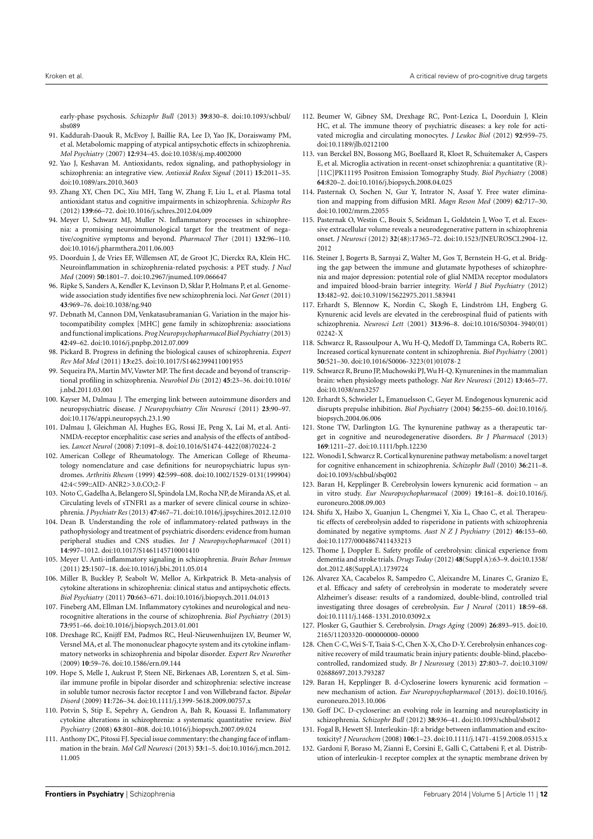early-phase psychosis. *Schizophr Bull* (2013) **39**:830–8. doi[:10.1093/schbul/](http://dx.doi.org/10.1093/schbul/sbs089) [sbs089](http://dx.doi.org/10.1093/schbul/sbs089)

- <span id="page-11-0"></span>91. Kaddurah-Daouk R, McEvoy J, Baillie RA, Lee D, Yao JK, Doraiswamy PM, et al. Metabolomic mapping of atypical antipsychotic effects in schizophrenia. *Mol Psychiatry* (2007) **12**:934–45. doi[:10.1038/sj.mp.4002000](http://dx.doi.org/10.1038/sj.mp.4002000)
- <span id="page-11-1"></span>92. Yao J, Keshavan M. Antioxidants, redox signaling, and pathophysiology in schizophrenia: an integrative view. *Antioxid Redox Signal* (2011) **15**:2011–35. doi[:10.1089/ars.2010.3603](http://dx.doi.org/10.1089/ars.2010.3603)
- <span id="page-11-2"></span>93. Zhang XY, Chen DC, Xiu MH, Tang W, Zhang F, Liu L, et al. Plasma total antioxidant status and cognitive impairments in schizophrenia. *Schizophr Res* (2012) **139**:66–72. doi[:10.1016/j.schres.2012.04.009](http://dx.doi.org/10.1016/j.schres.2012.04.009)
- <span id="page-11-3"></span>94. Meyer U, Schwarz MJ, Muller N. Inflammatory processes in schizophrenia: a promising neuroimmunological target for the treatment of negative/cognitive symptoms and beyond. *Pharmacol Ther* (2011) **132**:96–110. doi[:10.1016/j.pharmthera.2011.06.003](http://dx.doi.org/10.1016/j.pharmthera.2011.06.003)
- <span id="page-11-4"></span>95. Doorduin J, de Vries EF, Willemsen AT, de Groot JC, Dierckx RA, Klein HC. Neuroinflammation in schizophrenia-related psychosis: a PET study. *J Nucl Med* (2009) **50**:1801–7. doi[:10.2967/jnumed.109.066647](http://dx.doi.org/10.2967/jnumed.109.066647)
- <span id="page-11-5"></span>96. Ripke S, Sanders A, Kendler K, Levinson D, Sklar P, Holmans P, et al. Genomewide association study identifies five new schizophrenia loci. *Nat Genet* (2011) **43**:969–76. doi[:10.1038/ng.940](http://dx.doi.org/10.1038/ng.940)
- <span id="page-11-12"></span>97. Debnath M, Cannon DM, Venkatasubramanian G. Variation in the major histocompatibility complex [MHC] gene family in schizophrenia: associations and functional implications. *Prog Neuropsychopharmacol Biol Psychiatry* (2013) **42**:49–62. doi[:10.1016/j.pnpbp.2012.07.009](http://dx.doi.org/10.1016/j.pnpbp.2012.07.009)
- <span id="page-11-6"></span>98. Pickard B. Progress in defining the biological causes of schizophrenia. *Expert Rev Mol Med* (2011) **13**:e25. doi[:10.1017/S1462399411001955](http://dx.doi.org/10.1017/S1462399411001955)
- <span id="page-11-7"></span>99. Sequeira PA, Martin MV, Vawter MP. The first decade and beyond of transcriptional profiling in schizophrenia. *Neurobiol Dis* (2012) **45**:23–36. doi[:10.1016/](http://dx.doi.org/10.1016/j.nbd.2011.03.001) [j.nbd.2011.03.001](http://dx.doi.org/10.1016/j.nbd.2011.03.001)
- <span id="page-11-8"></span>100. Kayser M, Dalmau J. The emerging link between autoimmune disorders and neuropsychiatric disease. *J Neuropsychiatry Clin Neurosci* (2011) **23**:90–97. doi[:10.1176/appi.neuropsych.23.1.90](http://dx.doi.org/10.1176/appi.neuropsych.23.1.90)
- <span id="page-11-9"></span>101. Dalmau J, Gleichman AJ, Hughes EG, Rossi JE, Peng X, Lai M, et al. Anti-NMDA-receptor encephalitis: case series and analysis of the effects of antibodies. *Lancet Neurol* (2008) **7**:1091–8. doi[:10.1016/S1474-4422\(08\)70224-2](http://dx.doi.org/10.1016/S1474-4422(08)70224-2)
- <span id="page-11-10"></span>102. American College of Rheumatology. The American College of Rheumatology nomenclature and case definitions for neuropsychiatric lupus syndromes. *Arthritis Rheum* (1999) **42**:599–608. doi[:10.1002/1529-0131\(199904\)](http://dx.doi.org/10.1002/1529-0131(199904)42:4<599::AID-ANR2>3.0.CO;2-F) [42:4<599::AID-ANR2>3.0.CO;2-F](http://dx.doi.org/10.1002/1529-0131(199904)42:4<599::AID-ANR2>3.0.CO;2-F)
- <span id="page-11-11"></span>103. Noto C, Gadelha A, Belangero SI, Spindola LM, Rocha NP, de Miranda AS, et al. Circulating levels of sTNFR1 as a marker of severe clinical course in schizophrenia. *J Psychiatr Res* (2013) **47**:467–71. doi[:10.1016/j.jpsychires.2012.12.010](http://dx.doi.org/10.1016/j.jpsychires.2012.12.010)
- <span id="page-11-13"></span>104. Dean B. Understanding the role of inflammatory-related pathways in the pathophysiology and treatment of psychiatric disorders: evidence from human peripheral studies and CNS studies. *Int J Neuropsychopharmacol* (2011) **14**:997–1012. doi[:10.1017/S1461145710001410](http://dx.doi.org/10.1017/S1461145710001410)
- <span id="page-11-14"></span>105. Meyer U. Anti-inflammatory signaling in schizophrenia. *Brain Behav Immun* (2011) **25**:1507–18. doi[:10.1016/j.bbi.2011.05.014](http://dx.doi.org/10.1016/j.bbi.2011.05.014)
- <span id="page-11-17"></span>106. Miller B, Buckley P, Seabolt W, Mellor A, Kirkpatrick B. Meta-analysis of cytokine alterations in schizophrenia: clinical status and antipsychotic effects. *Biol Psychiatry* (2011) **70**:663–671. doi[:10.1016/j.biopsych.2011.04.013](http://dx.doi.org/10.1016/j.biopsych.2011.04.013)
- <span id="page-11-15"></span>107. Fineberg AM, Ellman LM. Inflammatory cytokines and neurological and neurocognitive alterations in the course of schizophrenia. *Biol Psychiatry* (2013) **73**:951–66. doi[:10.1016/j.biopsych.2013.01.001](http://dx.doi.org/10.1016/j.biopsych.2013.01.001)
- <span id="page-11-16"></span>108. Drexhage RC, Knijff EM, Padmos RC, Heul-Nieuwenhuijzen LV, Beumer W, Versnel MA, et al. The mononuclear phagocyte system and its cytokine inflammatory networks in schizophrenia and bipolar disorder. *Expert Rev Neurother* (2009) **10**:59–76. doi[:10.1586/ern.09.144](http://dx.doi.org/10.1586/ern.09.144)
- <span id="page-11-18"></span>109. Hope S, Melle I, Aukrust P, Steen NE, Birkenaes AB, Lorentzen S, et al. Similar immune profile in bipolar disorder and schizophrenia: selective increase in soluble tumor necrosis factor receptor I and von Willebrand factor. *Bipolar Disord* (2009) **11**:726–34. doi[:10.1111/j.1399-5618.2009.00757.x](http://dx.doi.org/10.1111/j.1399-5618.2009.00757.x)
- <span id="page-11-19"></span>110. Potvin S, Stip E, Sepehry A, Gendron A, Bah R, Kouassi E. Inflammatory cytokine alterations in schizophrenia: a systematic quantitative review. *Biol Psychiatry* (2008) **63**:801–808. doi[:10.1016/j.biopsych.2007.09.024](http://dx.doi.org/10.1016/j.biopsych.2007.09.024)
- <span id="page-11-20"></span>111. Anthony DC, Pitossi FJ. Special issue commentary: the changing face of inflammation in the brain. *Mol Cell Neurosci* (2013) **53**:1–5. doi[:10.1016/j.mcn.2012.](http://dx.doi.org/10.1016/j.mcn.2012.11.005) [11.005](http://dx.doi.org/10.1016/j.mcn.2012.11.005)
- <span id="page-11-21"></span>112. Beumer W, Gibney SM, Drexhage RC, Pont-Lezica L, Doorduin J, Klein HC, et al. The immune theory of psychiatric diseases: a key role for activated microglia and circulating monocytes. *J Leukoc Biol* (2012) **92**:959–75. doi[:10.1189/jlb.0212100](http://dx.doi.org/10.1189/jlb.0212100)
- <span id="page-11-22"></span>113. van Berckel BN, Bossong MG, Boellaard R, Kloet R, Schuitemaker A, Caspers E, et al. Microglia activation in recent-onset schizophrenia: a quantitative (R)- [11C]PK11195 Positron Emission Tomography Study. *Biol Psychiatry* (2008) **64**:820–2. doi[:10.1016/j.biopsych.2008.04.025](http://dx.doi.org/10.1016/j.biopsych.2008.04.025)
- <span id="page-11-23"></span>114. Pasternak O, Sochen N, Gur Y, Intrator N, Assaf Y. Free water elimination and mapping from diffusion MRI. *Magn Reson Med* (2009) **62**:717–30. doi[:10.1002/mrm.22055](http://dx.doi.org/10.1002/mrm.22055)
- <span id="page-11-24"></span>115. Pasternak O, Westin C, Bouix S, Seidman L, Goldstein J, Woo T, et al. Excessive extracellular volume reveals a neurodegenerative pattern in schizophrenia onset. *J Neurosci* (2012) **32**(48):17365–72. doi[:10.1523/JNEUROSCI.2904-12.](http://dx.doi.org/10.1523/JNEUROSCI.2904-12.2012) [2012](http://dx.doi.org/10.1523/JNEUROSCI.2904-12.2012)
- <span id="page-11-25"></span>116. Steiner J, Bogerts B, Sarnyai Z, Walter M, Gos T, Bernstein H-G, et al. Bridging the gap between the immune and glutamate hypotheses of schizophrenia and major depression: potential role of glial NMDA receptor modulators and impaired blood-brain barrier integrity. *World J Biol Psychiatry* (2012) **13**:482–92. doi[:10.3109/15622975.2011.583941](http://dx.doi.org/10.3109/15622975.2011.583941)
- <span id="page-11-26"></span>117. Erhardt S, Blennow K, Nordin C, Skogh E, Lindström LH, Engberg G. Kynurenic acid levels are elevated in the cerebrospinal fluid of patients with schizophrenia. *Neurosci Lett* (2001) **313**:96–8. doi[:10.1016/S0304-3940\(01\)](http://dx.doi.org/10.1016/S0304-3940(01)02242-X) [02242-X](http://dx.doi.org/10.1016/S0304-3940(01)02242-X)
- <span id="page-11-27"></span>118. Schwarcz R, Rassoulpour A, Wu H-Q, Medoff D, Tamminga CA, Roberts RC. Increased cortical kynurenate content in schizophrenia. *Biol Psychiatry* (2001) **50**:521–30. doi[:10.1016/S0006-3223\(01\)01078-2](http://dx.doi.org/10.1016/S0006-3223(01)01078-2)
- <span id="page-11-28"></span>119. Schwarcz R, Bruno JP, Muchowski PJ,Wu H-Q. Kynurenines in the mammalian brain: when physiology meets pathology. *Nat Rev Neurosci* (2012) **13**:465–77. doi[:10.1038/nrn3257](http://dx.doi.org/10.1038/nrn3257)
- <span id="page-11-29"></span>120. Erhardt S, Schwieler L, Emanuelsson C, Geyer M. Endogenous kynurenic acid disrupts prepulse inhibition. *Biol Psychiatry* (2004) **56**:255–60. doi[:10.1016/j.](http://dx.doi.org/10.1016/j.biopsych.2004.06.006) [biopsych.2004.06.006](http://dx.doi.org/10.1016/j.biopsych.2004.06.006)
- <span id="page-11-30"></span>121. Stone TW, Darlington LG. The kynurenine pathway as a therapeutic target in cognitive and neurodegenerative disorders. *Br J Pharmacol* (2013) **169**:1211–27. doi[:10.1111/bph.12230](http://dx.doi.org/10.1111/bph.12230)
- <span id="page-11-31"></span>122. Wonodi I, Schwarcz R. Cortical kynurenine pathway metabolism: a novel target for cognitive enhancement in schizophrenia. *Schizophr Bull* (2010) **36**:211–8. doi[:10.1093/schbul/sbq002](http://dx.doi.org/10.1093/schbul/sbq002)
- <span id="page-11-32"></span>123. Baran H, Kepplinger B. Cerebrolysin lowers kynurenic acid formation – an in vitro study. *Eur Neuropsychopharmacol* (2009) **19**:161–8. doi[:10.1016/j.](http://dx.doi.org/10.1016/j.euroneuro.2008.09.003) [euroneuro.2008.09.003](http://dx.doi.org/10.1016/j.euroneuro.2008.09.003)
- <span id="page-11-33"></span>124. Shifu X, Haibo X, Guanjun L, Chengmei Y, Xia L, Chao C, et al. Therapeutic effects of cerebrolysin added to risperidone in patients with schizophrenia dominated by negative symptoms. *Aust N Z J Psychiatry* (2012) **46**:153–60. doi[:10.1177/0004867411433213](http://dx.doi.org/10.1177/0004867411433213)
- <span id="page-11-34"></span>125. Thome J, Doppler E. Safety profile of cerebrolysin: clinical experience from dementia and stroke trials. *Drugs Today* (2012) **48**(Suppl A):63–9. doi[:10.1358/](http://dx.doi.org/10.1358/dot.2012.48(Suppl.A).1739724) [dot.2012.48\(Suppl.A\).1739724](http://dx.doi.org/10.1358/dot.2012.48(Suppl.A).1739724)
- <span id="page-11-35"></span>126. Alvarez XA, Cacabelos R, Sampedro C, Aleixandre M, Linares C, Granizo E, et al. Efficacy and safety of cerebrolysin in moderate to moderately severe Alzheimer's disease: results of a randomized, double-blind, controlled trial investigating three dosages of cerebrolysin. *Eur J Neurol* (2011) **18**:59–68. doi[:10.1111/j.1468-1331.2010.03092.x](http://dx.doi.org/10.1111/j.1468-1331.2010.03092.x)
- <span id="page-11-36"></span>127. Plosker G, Gauthier S. Cerebrolysin. *Drugs Aging* (2009) **26**:893–915. doi[:10.](http://dx.doi.org/10.2165/11203320-000000000-00000) [2165/11203320-000000000-00000](http://dx.doi.org/10.2165/11203320-000000000-00000)
- <span id="page-11-37"></span>128. Chen C-C, Wei S-T, Tsaia S-C, Chen X-X, Cho D-Y. Cerebrolysin enhances cognitive recovery of mild traumatic brain injury patients: double-blind, placebocontrolled, randomized study. *Br J Neurosurg* (2013) **27**:803–7. doi[:10.3109/](http://dx.doi.org/10.3109/02688697.2013.793287) [02688697.2013.793287](http://dx.doi.org/10.3109/02688697.2013.793287)
- <span id="page-11-38"></span>129. Baran H, Kepplinger B. d-Cycloserine lowers kynurenic acid formation – new mechanism of action. *Eur Neuropsychopharmacol* (2013). doi[:10.1016/j.](http://dx.doi.org/10.1016/j.euroneuro.2013.10.006) [euroneuro.2013.10.006](http://dx.doi.org/10.1016/j.euroneuro.2013.10.006)
- <span id="page-11-39"></span>130. Goff DC. D-cycloserine: an evolving role in learning and neuroplasticity in schizophrenia. *Schizophr Bull* (2012) **38**:936–41. doi[:10.1093/schbul/sbs012](http://dx.doi.org/10.1093/schbul/sbs012)
- <span id="page-11-40"></span>131. Fogal B, Hewett SJ. Interleukin-1β: a bridge between inflammation and excitotoxicity? *J Neurochem* (2008) **106**:1–23. doi[:10.1111/j.1471-4159.2008.05315.x](http://dx.doi.org/10.1111/j.1471-4159.2008.05315.x)
- <span id="page-11-41"></span>132. Gardoni F, Boraso M, Zianni E, Corsini E, Galli C, Cattabeni F, et al. Distribution of interleukin-1 receptor complex at the synaptic membrane driven by